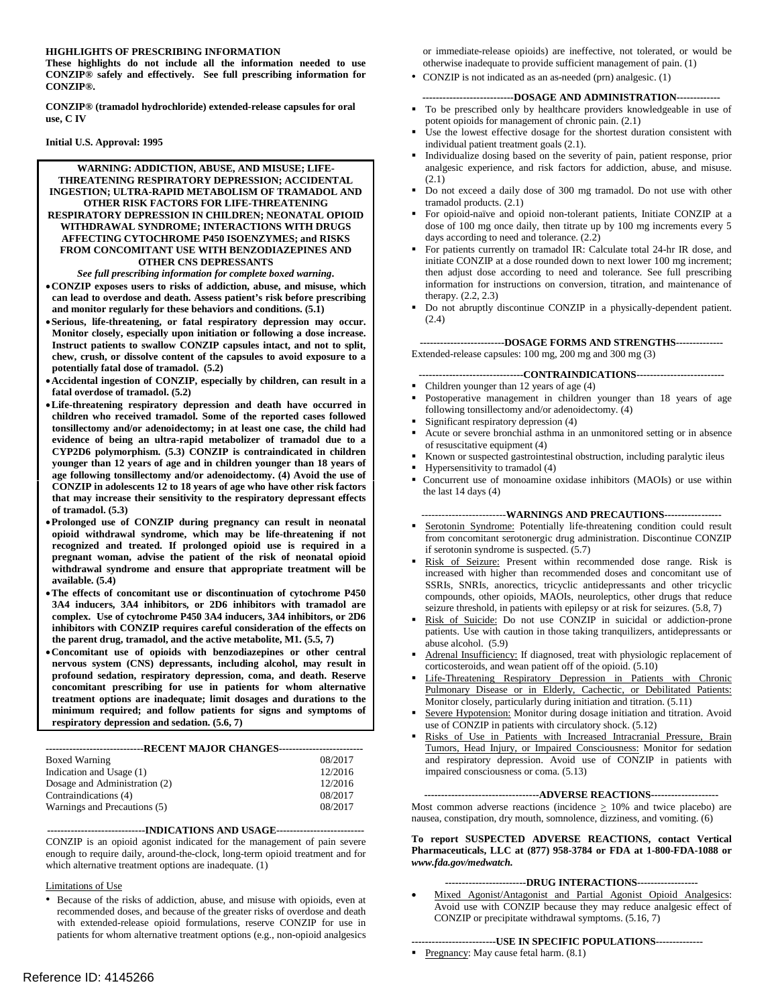#### **HIGHLIGHTS OF PRESCRIBING INFORMATION**

**These highlights do not include all the information needed to use CONZIP® safely and effectively. See full prescribing information for CONZIP®.** 

**CONZIP® (tramadol hydrochloride) extended-release capsules for oral use, C IV** 

**Initial U.S. Approval: 1995** 

**WARNING: ADDICTION, ABUSE, AND MISUSE; LIFE-THREATENING RESPIRATORY DEPRESSION; ACCIDENTAL INGESTION; ULTRA-RAPID METABOLISM OF TRAMADOL AND OTHER RISK FACTORS FOR LIFE-THREATENING RESPIRATORY DEPRESSION IN CHILDREN; NEONATAL OPIOID WITHDRAWAL SYNDROME; INTERACTIONS WITH DRUGS AFFECTING CYTOCHROME P450 ISOENZYMES; and RISKS FROM CONCOMITANT USE WITH BENZODIAZEPINES AND OTHER CNS DEPRESSANTS**

 **can lead to overdose and death. Assess patient's risk before prescribing and monitor regularly for these behaviors and conditions. (5.1)**  *See full prescribing information for complete boxed warning***.** •**CONZIP exposes users to risks of addiction, abuse, and misuse, which** 

- **Monitor closely, especially upon initiation or following a dose increase. Instruct patients to swallow CONZIP capsules intact, and not to split, chew, crush, or dissolve content of the capsules to avoid exposure to a potentially fatal dose of tramadol. (5.2)**  •**Serious, life-threatening, or fatal respiratory depression may occur.**
- •**Accidental ingestion of CONZIP, especially by children, can result in a fatal overdose of tramadol. (5.2)**
- •**Life-threatening respiratory depression and death have occurred in children who received tramadol. Some of the reported cases followed tonsillectomy and/or adenoidectomy; in at least one case, the child had CONZIP in adolescents 12 to 18 years of age who have other risk factors of tramadol. (5.3) evidence of being an ultra-rapid metabolizer of tramadol due to a CYP2D6 polymorphism. (5.3) CONZIP is contraindicated in children younger than 12 years of age and in children younger than 18 years of age following tonsillectomy and/or adenoidectomy. (4) Avoid the use of that may increase their sensitivity to the respiratory depressant effects**
- •**Prolonged use of CONZIP during pregnancy can result in neonatal pregnant woman, advise the patient of the risk of neonatal opioid withdrawal syndrome and ensure that appropriate treatment will be available. (5.4) opioid withdrawal syndrome, which may be life-threatening if not recognized and treated. If prolonged opioid use is required in a**
- **inhibitors with CONZIP requires careful consideration of the effects on the parent drug, tramadol, and the active metabolite, M1. (5.5, 7)**  •**The effects of concomitant use or discontinuation of cytochrome P450 3A4 inducers, 3A4 inhibitors, or 2D6 inhibitors with tramadol are complex. Use of cytochrome P450 3A4 inducers, 3A4 inhibitors, or 2D6**
- •**Concomitant use of opioids with benzodiazepines or other central treatment options are inadequate; limit dosages and durations to the minimum required; and follow patients for signs and symptoms of respiratory depression and sedation. (5.6, 7) nervous system (CNS) depressants, including alcohol, may result in profound sedation, respiratory depression, coma, and death. Reserve concomitant prescribing for use in patients for whom alternative**

| -----------------------------RECENT MAJOR CHANGES------------------------- |         |
|----------------------------------------------------------------------------|---------|
| <b>Boxed Warning</b>                                                       | 08/2017 |
| Indication and Usage (1)                                                   | 12/2016 |
| Dosage and Administration (2)                                              | 12/2016 |
| Contraindications (4)                                                      | 08/2017 |
| Warnings and Precautions (5)                                               | 08/2017 |

#### **-----------------------------INDICATIONS AND USAGE-------------------------**

 CONZIP is an opioid agonist indicated for the management of pain severe enough to require daily, around-the-clock, long-term opioid treatment and for which alternative treatment options are inadequate. (1)

Limitations of Use

Because of the risks of addiction, abuse, and misuse with opioids, even at recommended doses, and because of the greater risks of overdose and death with extended-release opioid formulations, reserve CONZIP for use in patients for whom alternative treatment options (e.g., non-opioid analgesics or immediate-release opioids) are ineffective, not tolerated, or would be otherwise inadequate to provide sufficient management of pain. (1)

• CONZIP is not indicated as an as-needed (prn) analgesic. (1)

#### **---------------------------DOSAGE AND ADMINISTRATION------------**

- To be prescribed only by healthcare providers knowledgeable in use of potent opioids for management of chronic pain. (2.1)
- Use the lowest effective dosage for the shortest duration consistent with individual patient treatment goals (2.1).
- (2.1) Individualize dosing based on the severity of pain, patient response, prior analgesic experience, and risk factors for addiction, abuse, and misuse.
- Do not exceed a daily dose of 300 mg tramadol. Do not use with other tramadol products. (2.1)
- dose of 100 mg once daily, then titrate up by 100 mg increments every 5 days according to need and tolerance. (2.2) For opioid-naïve and opioid non-tolerant patients, Initiate CONZIP at a
- initiate CONZIP at a dose rounded down to next lower 100 mg increment; then adjust dose according to need and tolerance. See full prescribing therapy. (2.2, 2.3) For patients currently on tramadol IR: Calculate total 24-hr IR dose, and information for instructions on conversion, titration, and maintenance of
- Do not abruptly discontinue CONZIP in a physically-dependent patient. (2.4)

 Extended-release capsules: 100 mg, 200 mg and 300 mg (3) **-------------------------DOSAGE FORMS AND STRENGTHS-------------**

- **-------------------------------CONTRAINDICATIONS-------------------------**
- Children younger than 12 years of age (4)
- **Postoperative management in children younger than 18 years of age** following tonsillectomy and/or adenoidectomy. (4)
- Significant respiratory depression (4)
- of resuscitative equipment (4) Acute or severe bronchial asthma in an unmonitored setting or in absence
- Known or suspected gastrointestinal obstruction, including paralytic ileus
- Hypersensitivity to tramadol (4)
- Concurrent use of monoamine oxidase inhibitors (MAOIs) or use within the last 14 days (4)

#### -------------------------**WARNINGS AND PRECAUTIONS----------------**

- **Serotonin Syndrome:** Potentially life-threatening condition could result from concomitant serotonergic drug administration. Discontinue CONZIP if serotonin syndrome is suspected. (5.7)
- compounds, other opioids, MAOIs, neuroleptics, other drugs that reduce Risk of Seizure: Present within recommended dose range. Risk is increased with higher than recommended doses and concomitant use of SSRIs, SNRIs, anorectics, tricyclic antidepressants and other tricyclic seizure threshold, in patients with epilepsy or at risk for seizures. (5.8, 7)
- abuse alcohol. (5.9) Risk of Suicide: Do not use CONZIP in suicidal or addiction-prone patients. Use with caution in those taking tranquilizers, antidepressants or
- Adrenal Insufficiency: If diagnosed, treat with physiologic replacement of corticosteroids, and wean patient off of the opioid. (5.10)
- Monitor closely, particularly during initiation and titration. (5.11) Life-Threatening Respiratory Depression in Patients with Chronic Pulmonary Disease or in Elderly, Cachectic, or Debilitated Patients:
- Severe Hypotension: Monitor during dosage initiation and titration. Avoid use of CONZIP in patients with circulatory shock. (5.12)
- Risks of Use in Patients with Increased Intracranial Pressure, Brain Tumors, Head Injury, or Impaired Consciousness: Monitor for sedation and respiratory depression. Avoid use of CONZIP in patients with impaired consciousness or coma. (5.13)

#### **----------------------------------ADVERSE REACTIONS-------------------**

Most common adverse reactions (incidence  $\geq$  10% and twice placebo) are nausea, constipation, dry mouth, somnolence, dizziness, and vomiting. (6)

 **To report SUSPECTED ADVERSE REACTIONS, contact Vertical Pharmaceuticals, LLC at (877) 958-3784 or FDA at 1-800-FDA-1088 or**  *www.fda.gov/medwatch.* 

#### **------------------------DRUG INTERACTIONS-----------------**

Mixed Agonist/Antagonist and Partial Agonist Opioid Analgesics: Avoid use with CONZIP because they may reduce analgesic effect of CONZIP or precipitate withdrawal symptoms. (5.16, 7)

#### **-------------------------USE IN SPECIFIC POPULATIONS-------------**

Pregnancy: May cause fetal harm.  $(8.1)$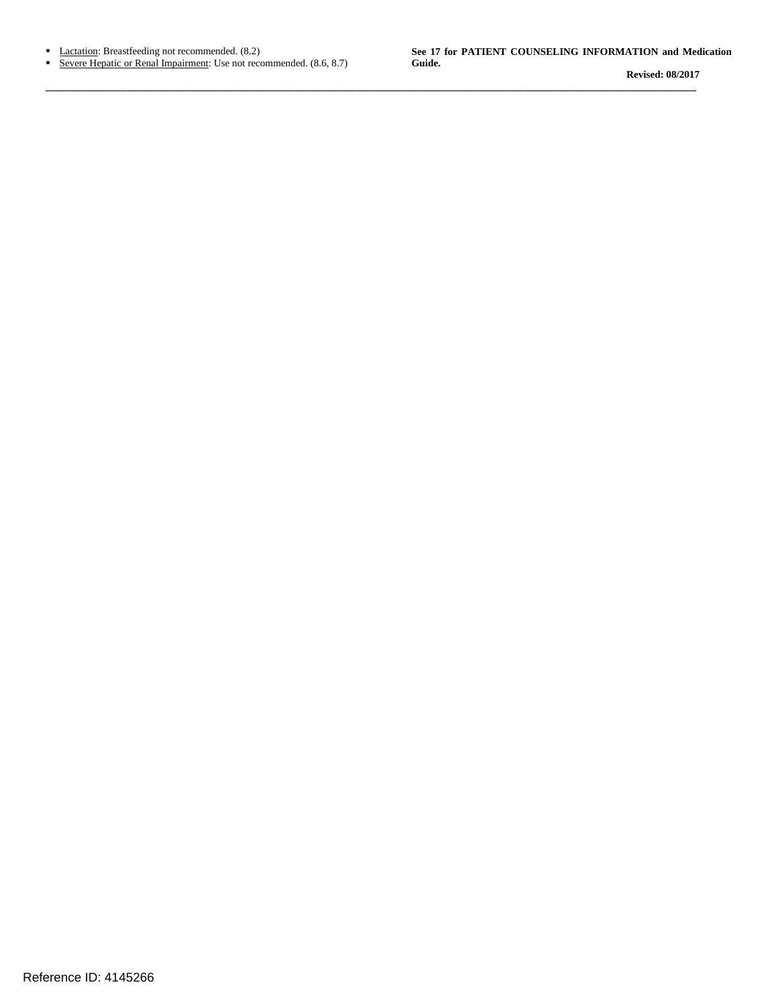- 
- **Severe Hepatic or Renal Impairment:** Use not recommended. (8.6, 8.7) **Guide.**

**\_\_\_\_\_\_\_\_\_\_\_\_\_\_\_\_\_\_\_\_\_\_\_\_\_\_\_\_\_\_\_\_\_\_\_\_\_\_\_\_\_\_\_\_\_\_\_\_\_\_\_\_\_\_\_\_\_\_\_\_\_\_\_\_\_\_\_\_\_\_\_\_\_\_\_\_\_\_\_\_\_\_\_\_\_\_\_\_\_\_\_\_\_\_\_\_\_\_\_\_\_\_\_\_\_\_\_\_\_\_\_\_\_\_\_\_\_\_\_\_\_\_\_\_\_\_\_\_ Revised: 08/2017**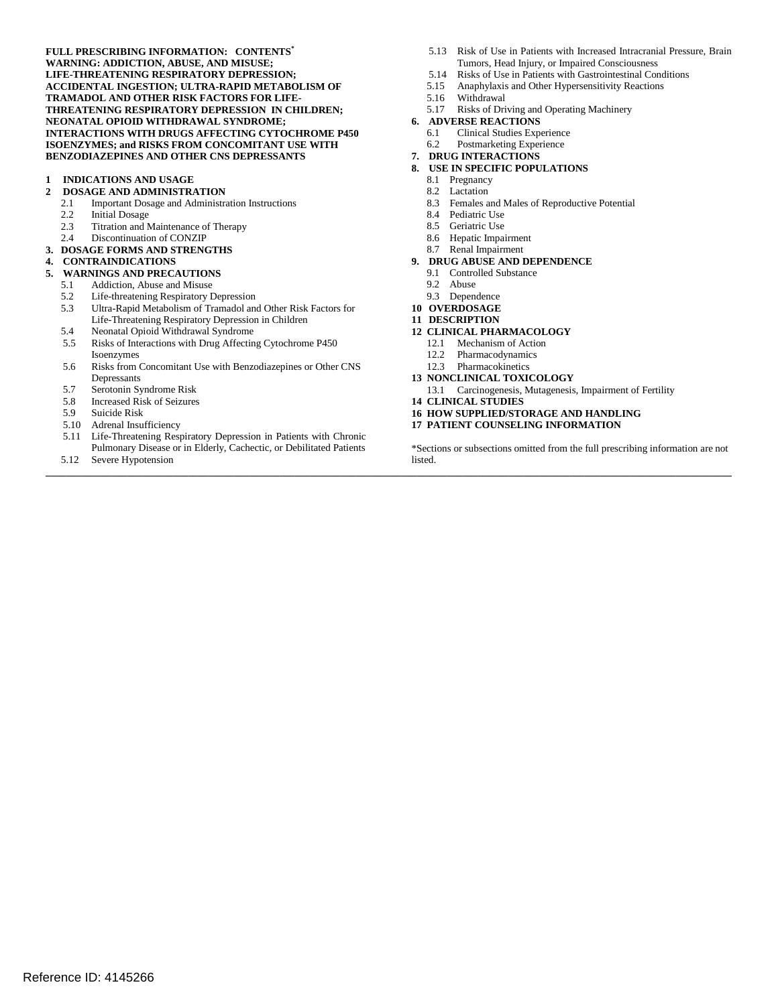**FULL PRESCRIBING INFORMATION: CONTENTS\* TRAMADOL AND OTHER RISK FACTORS FOR LIFE-WARNING: ADDICTION, ABUSE, AND MISUSE; LIFE-THREATENING RESPIRATORY DEPRESSION; ACCIDENTAL INGESTION; ULTRA-RAPID METABOLISM OF THREATENING RESPIRATORY DEPRESSION IN CHILDREN; NEONATAL OPIOID WITHDRAWAL SYNDROME; INTERACTIONS WITH DRUGS AFFECTING CYTOCHROME P450 ISOENZYMES; and RISKS FROM CONCOMITANT USE WITH BENZODIAZEPINES AND OTHER CNS DEPRESSANTS**

# **1 INDICATIONS AND USAGE<br>
2 DOSAGE AND ADMINISTRA**

#### **2 DOSAGE AND ADMINISTRATION**

- 2.1 Important Dosage and Administration Instructions<br>2.2 Initial Dosage
	- **Initial Dosage**
- 2.3 Titration and Maintenance of Therapy<br>2.4 Discontinuation of CONZIP
- Discontinuation of CONZIP
- **3. DOSAGE FORMS AND STRENGTHS**

#### **4. CONTRAINDICATIONS**

- **5. WARNINGS AND PRECAUTIONS**<br>5.1 Addiction. Abuse and Misuse
	- Addiction, Abuse and Misuse
	- 5.2 Life-threatening Respiratory Depression<br>5.3 Ultra-Rapid Metabolism of Tramadol and
	- Ultra-Rapid Metabolism of Tramadol and Other Risk Factors for Life-Threatening Respiratory Depression in Children 5.4 Neonatal Opioid Withdrawal Syndrome
	- 5.5 Risks of Interactions with Drug Affecting Cytochrome P450 Isoenzymes
	- 5.6 Risks from Concomitant Use with Benzodiazepines or Other CNS Depressants 5.7 Serotonin Syndrome Risk
	-
	- 5.8 5.8 Increased Risk of Seizures
	- 5.9 Suicide Risk
	- 5.10 Adrenal Insufficiency
	- 5.11 Life-Threatening Respiratory Depression in Patients with Chronic Pulmonary Disease or in Elderly, Cachectic, or Debilitated Patients
	- 5.12 Severe Hypotension
- 5.13 Risk of Use in Patients with Increased Intracranial Pressure, Brain Tumors, Head Injury, or Impaired Consciousness
- 5.14 Risks of Use in Patients with Gastrointestinal Conditions
- 5.15 Anaphylaxis and Other Hypersensitivity Reactions
- 5.16 Withdrawal<br>5.17 Risks of Dri
- 5.17 Risks of Driving and Operating Machinery
- **6. ADVERSE REACTIONS** 
	- 6.1 Clinical Studies Experience
- 6.2 Postmarketing Experience
- **7. DRUG INTERACTIONS**
- **8. USE IN SPECIFIC POPULATIONS** 
	- 8.1 Pregnancy
	- 8.2 Lactation
	- 8.3 Females and Males of Reproductive Potential
	- 8.4 Pediatric Use
	- 8.5 Geriatric Use
	- 8.6 Hepatic Impairment
	- 8.7 Renal Impairment

#### **9. DRUG ABUSE AND DEPENDENCE**

- 9.1 Controlled Substance
- 9.2 Abuse
- 9.3 Dependence
- **10 OVERDOSAGE**
- **11 DESCRIPTION**

**\_\_\_\_\_\_\_\_\_\_\_\_\_\_\_\_\_\_\_\_\_\_\_\_\_\_\_\_\_\_\_\_\_\_\_\_\_\_\_\_\_\_\_\_\_\_\_\_\_\_\_\_\_\_\_\_\_\_\_\_\_\_\_\_\_\_\_\_\_\_\_\_\_\_\_\_\_\_\_\_\_\_\_\_\_\_\_\_\_\_\_\_\_\_\_\_\_\_\_\_\_\_\_\_\_\_\_\_\_\_\_\_\_\_\_\_\_\_\_\_\_\_\_\_\_\_\_\_\_\_\_\_\_\_\_** 

- **12 CLINICAL PHARMACOLOGY**
- 12.1 Mechanism of Action<br>12.2 Pharmacodynamics
- Pharmacodynamics
- 12.3 Pharmacokinetics
- **13 NONCLINICAL TOXICOLOGY**
- 13.1 Carcinogenesis, Mutagenesis, Impairment of Fertility
- **14 CLINICAL STUDIES**
- **16 HOW SUPPLIED/STORAGE AND HANDLING**
- **17 PATIENT COUNSELING INFORMATION**

 \*Sections or subsections omitted from the full prescribing information are not listed.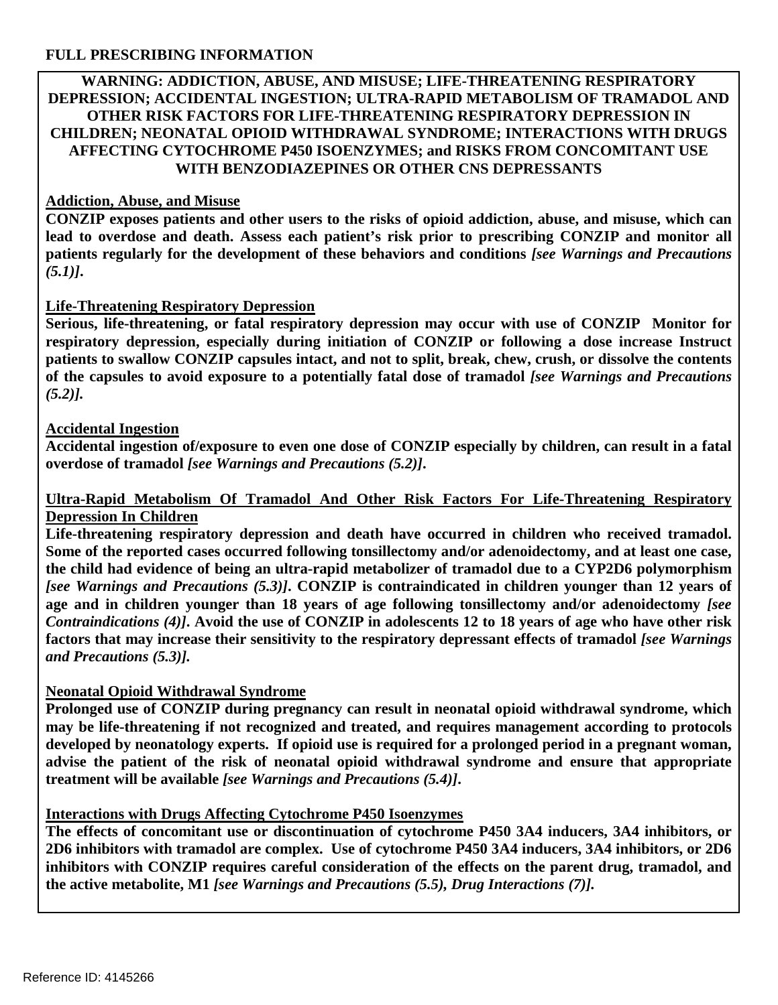## **FULL PRESCRIBING INFORMATION**

## **OTHER RISK FACTORS FOR LIFE-THREATENING RESPIRATORY DEPRESSION IN WARNING: ADDICTION, ABUSE, AND MISUSE; LIFE-THREATENING RESPIRATORY DEPRESSION; ACCIDENTAL INGESTION; ULTRA-RAPID METABOLISM OF TRAMADOL AND CHILDREN; NEONATAL OPIOID WITHDRAWAL SYNDROME; INTERACTIONS WITH DRUGS AFFECTING CYTOCHROME P450 ISOENZYMES; and RISKS FROM CONCOMITANT USE WITH BENZODIAZEPINES OR OTHER CNS DEPRESSANTS**

## **Addiction, Abuse, and Misuse**

lead to overdose and death. Assess each patient's risk prior to prescribing CONZIP and monitor all **CONZIP exposes patients and other users to the risks of opioid addiction, abuse, and misuse, which can patients regularly for the development of these behaviors and conditions** *[see Warnings and Precautions (5.1)]***.** 

## **Life-Threatening Respiratory Depression**

 **Serious, life-threatening, or fatal respiratory depression may occur with use of CONZIP Monitor for patients to swallow CONZIP capsules intact, and not to split, break, chew, crush, or dissolve the contents respiratory depression, especially during initiation of CONZIP or following a dose increase Instruct of the capsules to avoid exposure to a potentially fatal dose of tramadol** *[see Warnings and Precautions (5.2)].* 

## **Accidental Ingestion**

 **Accidental ingestion of/exposure to even one dose of CONZIP especially by children, can result in a fatal overdose of tramadol** *[see Warnings and Precautions (5.2)]***.** 

## **Ultra-Rapid Metabolism Of Tramadol And Other Risk Factors For Life-Threatening Respiratory Depression In Children**

 **age and in children younger than 18 years of age following tonsillectomy and/or adenoidectomy** *[see*   **factors that may increase their sensitivity to the respiratory depressant effects of tramadol** *[see Warnings*  **Life-threatening respiratory depression and death have occurred in children who received tramadol. Some of the reported cases occurred following tonsillectomy and/or adenoidectomy, and at least one case, the child had evidence of being an ultra-rapid metabolizer of tramadol due to a CYP2D6 polymorphism**  *[see Warnings and Precautions (5.3)]***. CONZIP is contraindicated in children younger than 12 years of**  *Contraindications (4)]***. Avoid the use of CONZIP in adolescents 12 to 18 years of age who have other risk**  *and Precautions (5.3)].* 

## **Neonatal Opioid Withdrawal Syndrome**

**Prolonged use of CONZIP during pregnancy can result in neonatal opioid withdrawal syndrome, which may be life-threatening if not recognized and treated, and requires management according to protocols developed by neonatology experts. If opioid use is required for a prolonged period in a pregnant woman, advise the patient of the risk of neonatal opioid withdrawal syndrome and ensure that appropriate treatment will be available** *[see Warnings and Precautions (5.4)]***.** 

#### **Interactions with Drugs Affecting Cytochrome P450 Isoenzymes**

 **inhibitors with CONZIP requires careful consideration of the effects on the parent drug, tramadol, and The effects of concomitant use or discontinuation of cytochrome P450 3A4 inducers, 3A4 inhibitors, or 2D6 inhibitors with tramadol are complex. Use of cytochrome P450 3A4 inducers, 3A4 inhibitors, or 2D6 the active metabolite, M1** *[see Warnings and Precautions (5.5), Drug Interactions (7)].*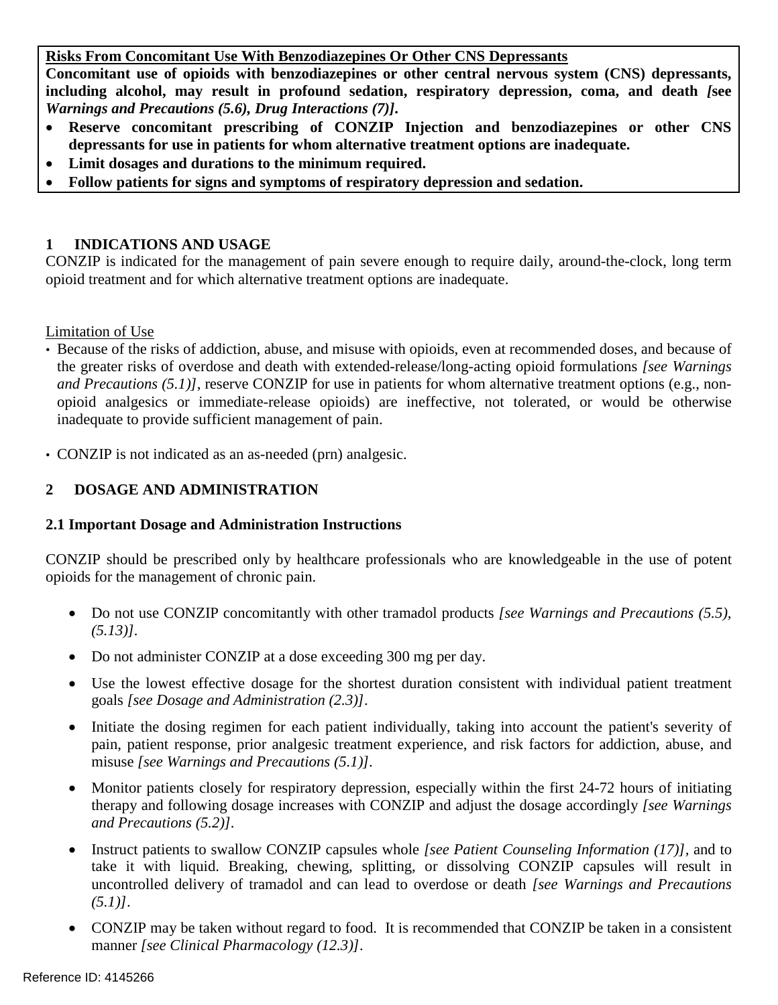**Risks From Concomitant Use With Benzodiazepines Or Other CNS Depressants**

**Concomitant use of opioids with benzodiazepines or other central nervous system (CNS) depressants, including alcohol, may result in profound sedation, respiratory depression, coma, and death** *[***see** *Warnings and Precautions (5.6), Drug Interactions (7)]***.** 

- • **Reserve concomitant prescribing of CONZIP Injection and benzodiazepines or other CNS depressants for use in patients for whom alternative treatment options are inadequate.**
- • **Limit dosages and durations to the minimum required.**
- • **Follow patients for signs and symptoms of respiratory depression and sedation.**

# **1 INDICATIONS AND USAGE**

 opioid treatment and for which alternative treatment options are inadequate. CONZIP is indicated for the management of pain severe enough to require daily, around-the-clock, long term

Limitation of Use

- the greater risks of overdose and death with extended-release/long-acting opioid formulations *[see Warnings*  • Because of the risks of addiction, abuse, and misuse with opioids, even at recommended doses, and because of *and Precautions (5.1)]*, reserve CONZIP for use in patients for whom alternative treatment options (e.g., nonopioid analgesics or immediate-release opioids) are ineffective, not tolerated, or would be otherwise inadequate to provide sufficient management of pain.
- CONZIP is not indicated as an as-needed (prn) analgesic.

# **2 DOSAGE AND ADMINISTRATION**

## **2.1 Important Dosage and Administration Instructions**

CONZIP should be prescribed only by healthcare professionals who are knowledgeable in the use of potent opioids for the management of chronic pain.

- Do not use CONZIP concomitantly with other tramadol products *[see Warnings and Precautions (5.5), (5.13)].*
- Do not administer CONZIP at a dose exceeding 300 mg per day.
- • Use the lowest effective dosage for the shortest duration consistent with individual patient treatment goals *[see Dosage and Administration (2.3)]*.
- misuse *[see Warnings and Precautions (5.1)].* • Initiate the dosing regimen for each patient individually, taking into account the patient's severity of pain, patient response, prior analgesic treatment experience, and risk factors for addiction, abuse, and
- *and Precautions (5.2)].*  • Monitor patients closely for respiratory depression, especially within the first 24-72 hours of initiating therapy and following dosage increases with CONZIP and adjust the dosage accordingly *[see Warnings*
- uncontrolled delivery of tramadol and can lead to overdose or death *[see Warnings and Precautions*  Instruct patients to swallow CONZIP capsules whole *[see Patient Counseling Information (17)]*, and to take it with liquid. Breaking, chewing, splitting, or dissolving CONZIP capsules will result in *(5.1)]*.
- CONZIP may be taken without regard to food. It is recommended that CONZIP be taken in a consistent manner *[see Clinical Pharmacology (12.3)]*.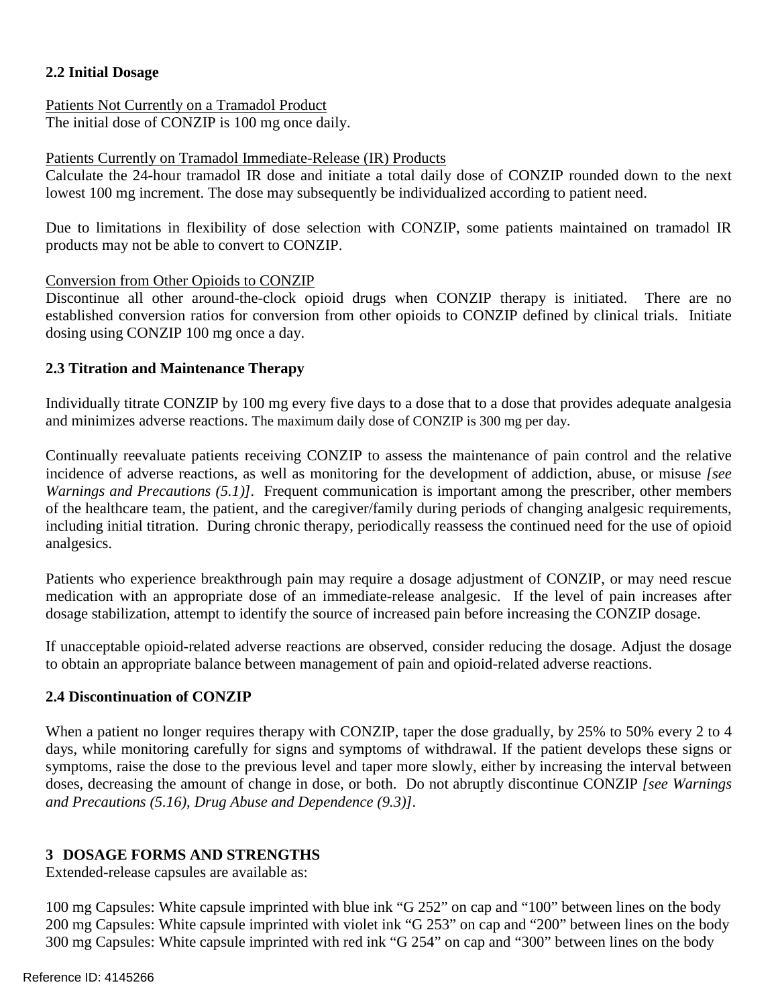## **2.2 Initial Dosage**

# Patients Not Currently on a Tramadol Product

The initial dose of CONZIP is 100 mg once daily.

## Patients Currently on Tramadol Immediate-Release (IR) Products

 Calculate the 24-hour tramadol IR dose and initiate a total daily dose of CONZIP rounded down to the next lowest 100 mg increment. The dose may subsequently be individualized according to patient need.

Due to limitations in flexibility of dose selection with CONZIP, some patients maintained on tramadol IR products may not be able to convert to CONZIP.

## Conversion from Other Opioids to CONZIP

Discontinue all other around-the-clock opioid drugs when CONZIP therapy is initiated. There are no established conversion ratios for conversion from other opioids to CONZIP defined by clinical trials. Initiate dosing using CONZIP 100 mg once a day.

## **2.3 Titration and Maintenance Therapy**

 Individually titrate CONZIP by 100 mg every five days to a dose that to a dose that provides adequate analgesia and minimizes adverse reactions. The maximum daily dose of CONZIP is 300 mg per day.

 incidence of adverse reactions, as well as monitoring for the development of addiction, abuse, or misuse *[see Warnings and Precautions (5.1)].* Frequent communication is important among the prescriber, other members Continually reevaluate patients receiving CONZIP to assess the maintenance of pain control and the relative of the healthcare team, the patient, and the caregiver/family during periods of changing analgesic requirements, including initial titration. During chronic therapy, periodically reassess the continued need for the use of opioid analgesics.

 Patients who experience breakthrough pain may require a dosage adjustment of CONZIP, or may need rescue dosage stabilization, attempt to identify the source of increased pain before increasing the CONZIP dosage. medication with an appropriate dose of an immediate-release analgesic. If the level of pain increases after

If unacceptable opioid-related adverse reactions are observed, consider reducing the dosage. Adjust the dosage to obtain an appropriate balance between management of pain and opioid-related adverse reactions.

## **2.4 Discontinuation of CONZIP**

When a patient no longer requires therapy with CONZIP, taper the dose gradually, by 25% to 50% every 2 to 4 days, while monitoring carefully for signs and symptoms of withdrawal. If the patient develops these signs or symptoms, raise the dose to the previous level and taper more slowly, either by increasing the interval between doses, decreasing the amount of change in dose, or both. Do not abruptly discontinue CONZIP *[see Warnings and Precautions (5.16), Drug Abuse and Dependence (9.3)].* 

## **3 DOSAGE FORMS AND STRENGTHS**

Extended-release capsules are available as:

100 mg Capsules: White capsule imprinted with blue ink "G 252" on cap and "100" between lines on the body 300 mg Capsules: White capsule imprinted with red ink "G 254" on cap and "300" between lines on the body 200 mg Capsules: White capsule imprinted with violet ink "G 253" on cap and "200" between lines on the body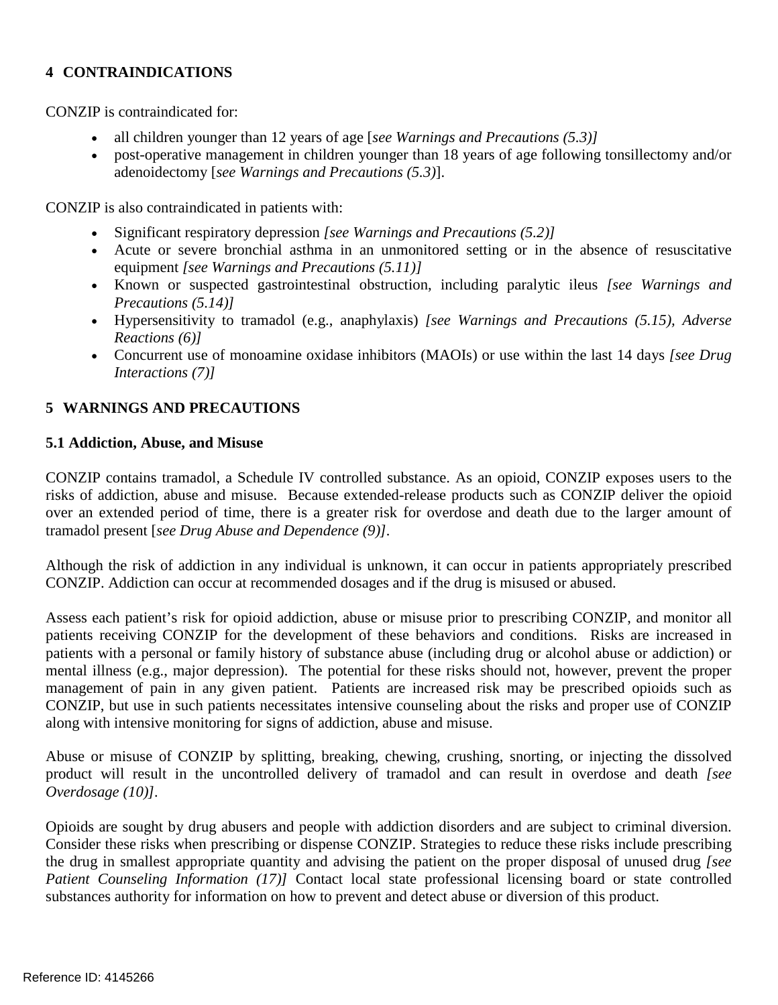## **4 CONTRAINDICATIONS**

CONZIP is contraindicated for:

- all children younger than 12 years of age [*see Warnings and Precautions (5.3)]*
- post-operative management in children younger than 18 years of age following tonsillectomy and/or adenoidectomy [*see Warnings and Precautions (5.3)*].

CONZIP is also contraindicated in patients with:

- • Significant respiratory depression *[see Warnings and Precautions (5.2)]*
- equipment *[see Warnings and Precautions (5.11)]*  • Acute or severe bronchial asthma in an unmonitored setting or in the absence of resuscitative
- • Known or suspected gastrointestinal obstruction, including paralytic ileus *[see Warnings and Precautions (5.14)]*
- • Hypersensitivity to tramadol (e.g., anaphylaxis) *[see Warnings and Precautions (5.15), Adverse Reactions (6)]*
- • Concurrent use of monoamine oxidase inhibitors (MAOIs) or use within the last 14 days *[see Drug Interactions (7)]*

# **5 WARNINGS AND PRECAUTIONS**

## **5.1 Addiction, Abuse, and Misuse**

 CONZIP contains tramadol, a Schedule IV controlled substance. As an opioid, CONZIP exposes users to the over an extended period of time, there is a greater risk for overdose and death due to the larger amount of risks of addiction, abuse and misuse. Because extended-release products such as CONZIP deliver the opioid tramadol present [*see Drug Abuse and Dependence (9)].* 

Although the risk of addiction in any individual is unknown, it can occur in patients appropriately prescribed CONZIP. Addiction can occur at recommended dosages and if the drug is misused or abused.

 patients with a personal or family history of substance abuse (including drug or alcohol abuse or addiction) or Assess each patient's risk for opioid addiction, abuse or misuse prior to prescribing CONZIP, and monitor all patients receiving CONZIP for the development of these behaviors and conditions. Risks are increased in mental illness (e.g., major depression). The potential for these risks should not, however, prevent the proper management of pain in any given patient. Patients are increased risk may be prescribed opioids such as CONZIP, but use in such patients necessitates intensive counseling about the risks and proper use of CONZIP along with intensive monitoring for signs of addiction, abuse and misuse.

Abuse or misuse of CONZIP by splitting, breaking, chewing, crushing, snorting, or injecting the dissolved product will result in the uncontrolled delivery of tramadol and can result in overdose and death *[see Overdosage (10)].* 

 the drug in smallest appropriate quantity and advising the patient on the proper disposal of unused drug *[see*  Opioids are sought by drug abusers and people with addiction disorders and are subject to criminal diversion. Consider these risks when prescribing or dispense CONZIP. Strategies to reduce these risks include prescribing *Patient Counseling Information (17)]* Contact local state professional licensing board or state controlled substances authority for information on how to prevent and detect abuse or diversion of this product.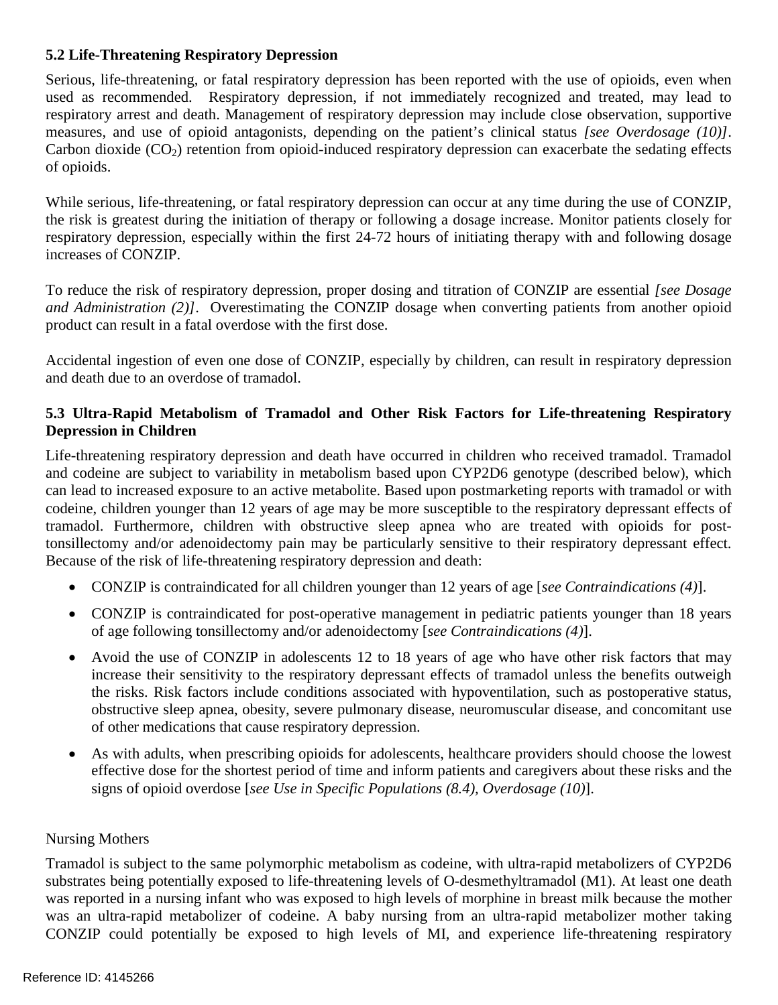## **5.2 Life-Threatening Respiratory Depression**

Carbon dioxide  $(CO_2)$  retention from opioid-induced respiratory depression can exacerbate the sedating effects Serious, life-threatening, or fatal respiratory depression has been reported with the use of opioids, even when used as recommended. Respiratory depression, if not immediately recognized and treated, may lead to respiratory arrest and death. Management of respiratory depression may include close observation, supportive measures, and use of opioid antagonists, depending on the patient's clinical status *[see Overdosage (10)]*. of opioids.

 While serious, life-threatening, or fatal respiratory depression can occur at any time during the use of CONZIP, the risk is greatest during the initiation of therapy or following a dosage increase. Monitor patients closely for respiratory depression, especially within the first 24-72 hours of initiating therapy with and following dosage increases of CONZIP.

To reduce the risk of respiratory depression, proper dosing and titration of CONZIP are essential *[see Dosage and Administration (2)]*. Overestimating the CONZIP dosage when converting patients from another opioid product can result in a fatal overdose with the first dose.

 Accidental ingestion of even one dose of CONZIP, especially by children, can result in respiratory depression and death due to an overdose of tramadol.

## **5.3 Ultra-Rapid Metabolism of Tramadol and Other Risk Factors for Life-threatening Respiratory Depression in Children**

 and codeine are subject to variability in metabolism based upon CYP2D6 genotype (described below), which codeine, children younger than 12 years of age may be more susceptible to the respiratory depressant effects of Life-threatening respiratory depression and death have occurred in children who received tramadol. Tramadol can lead to increased exposure to an active metabolite. Based upon postmarketing reports with tramadol or with tramadol. Furthermore, children with obstructive sleep apnea who are treated with opioids for posttonsillectomy and/or adenoidectomy pain may be particularly sensitive to their respiratory depressant effect. Because of the risk of life-threatening respiratory depression and death:

- • CONZIP is contraindicated for all children younger than 12 years of age [*see Contraindications (4)*].
- CONZIP is contraindicated for post-operative management in pediatric patients younger than 18 years of age following tonsillectomy and/or adenoidectomy [*see Contraindications (4)*].
- Avoid the use of CONZIP in adolescents 12 to 18 years of age who have other risk factors that may increase their sensitivity to the respiratory depressant effects of tramadol unless the benefits outweigh the risks. Risk factors include conditions associated with hypoventilation, such as postoperative status, obstructive sleep apnea, obesity, severe pulmonary disease, neuromuscular disease, and concomitant use of other medications that cause respiratory depression.
- As with adults, when prescribing opioids for adolescents, healthcare providers should choose the lowest effective dose for the shortest period of time and inform patients and caregivers about these risks and the signs of opioid overdose [*see Use in Specific Populations (8.4), Overdosage (10)*].

## Nursing Mothers

 Tramadol is subject to the same polymorphic metabolism as codeine, with ultra-rapid metabolizers of CYP2D6 substrates being potentially exposed to life-threatening levels of O-desmethyltramadol (M1). At least one death was reported in a nursing infant who was exposed to high levels of morphine in breast milk because the mother was an ultra-rapid metabolizer of codeine. A baby nursing from an ultra-rapid metabolizer mother taking CONZIP could potentially be exposed to high levels of MI, and experience life-threatening respiratory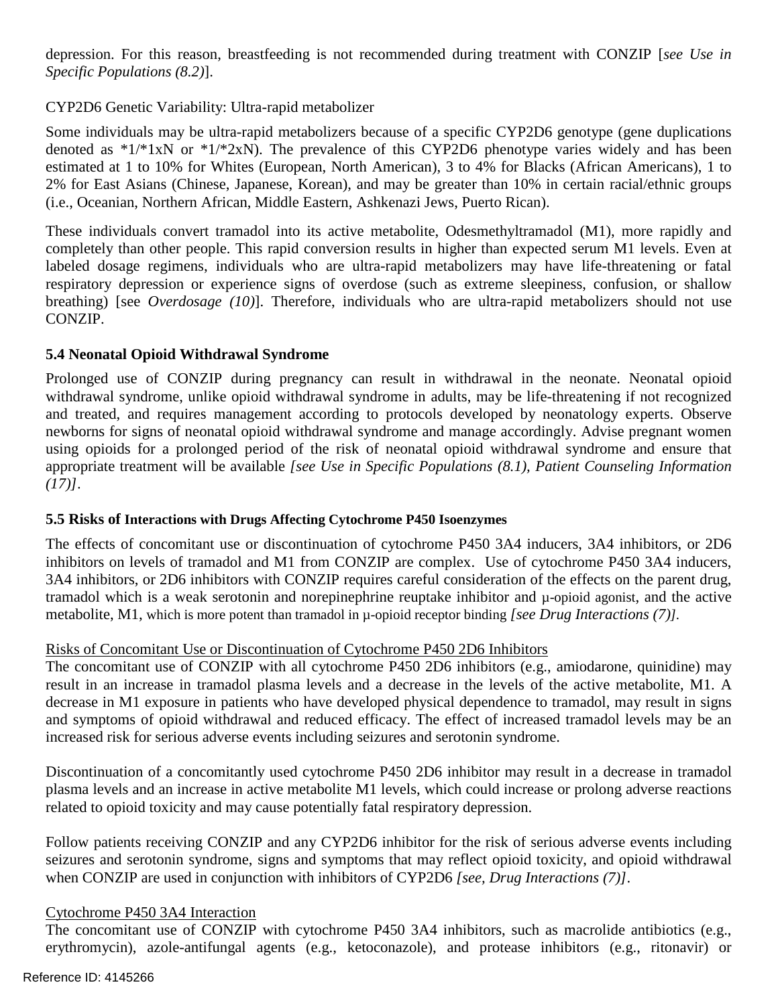depression. For this reason, breastfeeding is not recommended during treatment with CONZIP [*see Use in Specific Populations (8.2)*].

# CYP2D6 Genetic Variability: Ultra-rapid metabolizer

 denoted as \*1/\*1xN or \*1/\*2xN). The prevalence of this CYP2D6 phenotype varies widely and has been 2% for East Asians (Chinese, Japanese, Korean), and may be greater than 10% in certain racial/ethnic groups (i.e., Oceanian, Northern African, Middle Eastern, Ashkenazi Jews, Puerto Rican). Some individuals may be ultra-rapid metabolizers because of a specific CYP2D6 genotype (gene duplications estimated at 1 to 10% for Whites (European, North American), 3 to 4% for Blacks (African Americans), 1 to

These individuals convert tramadol into its active metabolite, Odesmethyltramadol (M1), more rapidly and completely than other people. This rapid conversion results in higher than expected serum M1 levels. Even at labeled dosage regimens, individuals who are ultra-rapid metabolizers may have life-threatening or fatal respiratory depression or experience signs of overdose (such as extreme sleepiness, confusion, or shallow breathing) [see *Overdosage (10)*]. Therefore, individuals who are ultra-rapid metabolizers should not use CONZIP.

# **5.4 Neonatal Opioid Withdrawal Syndrome**

Prolonged use of CONZIP during pregnancy can result in withdrawal in the neonate. Neonatal opioid withdrawal syndrome, unlike opioid withdrawal syndrome in adults, may be life-threatening if not recognized and treated, and requires management according to protocols developed by neonatology experts. Observe newborns for signs of neonatal opioid withdrawal syndrome and manage accordingly. Advise pregnant women using opioids for a prolonged period of the risk of neonatal opioid withdrawal syndrome and ensure that appropriate treatment will be available *[see Use in Specific Populations (8.1), Patient Counseling Information (17)]*.

## **5.5 Risks of Interactions with Drugs Affecting Cytochrome P450 Isoenzymes**

 metabolite, M1, which is more potent than tramadol in µ-opioid receptor binding *[see Drug Interactions (7)].*  The effects of concomitant use or discontinuation of cytochrome P450 3A4 inducers, 3A4 inhibitors, or 2D6 inhibitors on levels of tramadol and M1 from CONZIP are complex. Use of cytochrome P450 3A4 inducers, 3A4 inhibitors, or 2D6 inhibitors with CONZIP requires careful consideration of the effects on the parent drug, tramadol which is a weak serotonin and norepinephrine reuptake inhibitor and µ-opioid agonist, and the active

## Risks of Concomitant Use or Discontinuation of Cytochrome P450 2D6 Inhibitors

 and symptoms of opioid withdrawal and reduced efficacy. The effect of increased tramadol levels may be an increased risk for serious adverse events including seizures and serotonin syndrome. The concomitant use of CONZIP with all cytochrome P450 2D6 inhibitors (e.g., amiodarone, quinidine) may result in an increase in tramadol plasma levels and a decrease in the levels of the active metabolite, M1. A decrease in M1 exposure in patients who have developed physical dependence to tramadol, may result in signs

related to opioid toxicity and may cause potentially fatal respiratory depression. Discontinuation of a concomitantly used cytochrome P450 2D6 inhibitor may result in a decrease in tramadol plasma levels and an increase in active metabolite M1 levels, which could increase or prolong adverse reactions

Follow patients receiving CONZIP and any CYP2D6 inhibitor for the risk of serious adverse events including seizures and serotonin syndrome, signs and symptoms that may reflect opioid toxicity, and opioid withdrawal when CONZIP are used in conjunction with inhibitors of CYP2D6 *[see, Drug Interactions (7)]*.

## Cytochrome P450 3A4 Interaction

The concomitant use of CONZIP with cytochrome P450 3A4 inhibitors, such as macrolide antibiotics (e.g., erythromycin), azole-antifungal agents (e.g., ketoconazole), and protease inhibitors (e.g., ritonavir) or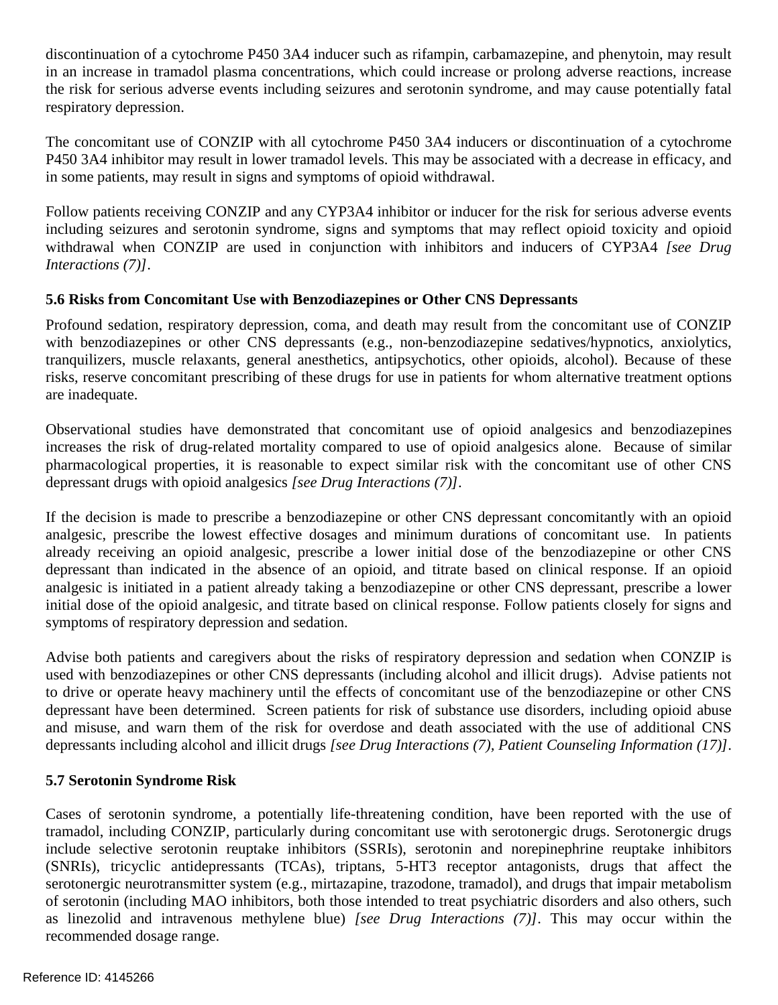the risk for serious adverse events including seizures and serotonin syndrome, and may cause potentially fatal discontinuation of a cytochrome P450 3A4 inducer such as rifampin, carbamazepine, and phenytoin, may result in an increase in tramadol plasma concentrations, which could increase or prolong adverse reactions, increase respiratory depression.

The concomitant use of CONZIP with all cytochrome P450 3A4 inducers or discontinuation of a cytochrome P450 3A4 inhibitor may result in lower tramadol levels. This may be associated with a decrease in efficacy, and in some patients, may result in signs and symptoms of opioid withdrawal.

 Follow patients receiving CONZIP and any CYP3A4 inhibitor or inducer for the risk for serious adverse events including seizures and serotonin syndrome, signs and symptoms that may reflect opioid toxicity and opioid withdrawal when CONZIP are used in conjunction with inhibitors and inducers of CYP3A4 *[see Drug Interactions (7)]*.

## **5.6 Risks from Concomitant Use with Benzodiazepines or Other CNS Depressants**

 Profound sedation, respiratory depression, coma, and death may result from the concomitant use of CONZIP are inadequate. with benzodiazepines or other CNS depressants (e.g., non-benzodiazepine sedatives/hypnotics, anxiolytics, tranquilizers, muscle relaxants, general anesthetics, antipsychotics, other opioids, alcohol). Because of these risks, reserve concomitant prescribing of these drugs for use in patients for whom alternative treatment options

Observational studies have demonstrated that concomitant use of opioid analgesics and benzodiazepines increases the risk of drug-related mortality compared to use of opioid analgesics alone. Because of similar pharmacological properties, it is reasonable to expect similar risk with the concomitant use of other CNS depressant drugs with opioid analgesics *[see Drug Interactions (7)]*.

 already receiving an opioid analgesic, prescribe a lower initial dose of the benzodiazepine or other CNS If the decision is made to prescribe a benzodiazepine or other CNS depressant concomitantly with an opioid analgesic, prescribe the lowest effective dosages and minimum durations of concomitant use. In patients depressant than indicated in the absence of an opioid, and titrate based on clinical response. If an opioid analgesic is initiated in a patient already taking a benzodiazepine or other CNS depressant, prescribe a lower initial dose of the opioid analgesic, and titrate based on clinical response. Follow patients closely for signs and symptoms of respiratory depression and sedation.

 Advise both patients and caregivers about the risks of respiratory depression and sedation when CONZIP is to drive or operate heavy machinery until the effects of concomitant use of the benzodiazepine or other CNS used with benzodiazepines or other CNS depressants (including alcohol and illicit drugs). Advise patients not depressant have been determined. Screen patients for risk of substance use disorders, including opioid abuse and misuse, and warn them of the risk for overdose and death associated with the use of additional CNS depressants including alcohol and illicit drugs *[see Drug Interactions (7), Patient Counseling Information (17)]*.

# **5.7 Serotonin Syndrome Risk**

 serotonergic neurotransmitter system (e.g., mirtazapine, trazodone, tramadol), and drugs that impair metabolism Cases of serotonin syndrome, a potentially life-threatening condition, have been reported with the use of tramadol, including CONZIP, particularly during concomitant use with serotonergic drugs. Serotonergic drugs include selective serotonin reuptake inhibitors (SSRIs), serotonin and norepinephrine reuptake inhibitors (SNRIs), tricyclic antidepressants (TCAs), triptans, 5-HT3 receptor antagonists, drugs that affect the of serotonin (including MAO inhibitors, both those intended to treat psychiatric disorders and also others, such as linezolid and intravenous methylene blue) *[see Drug Interactions (7)]*. This may occur within the recommended dosage range.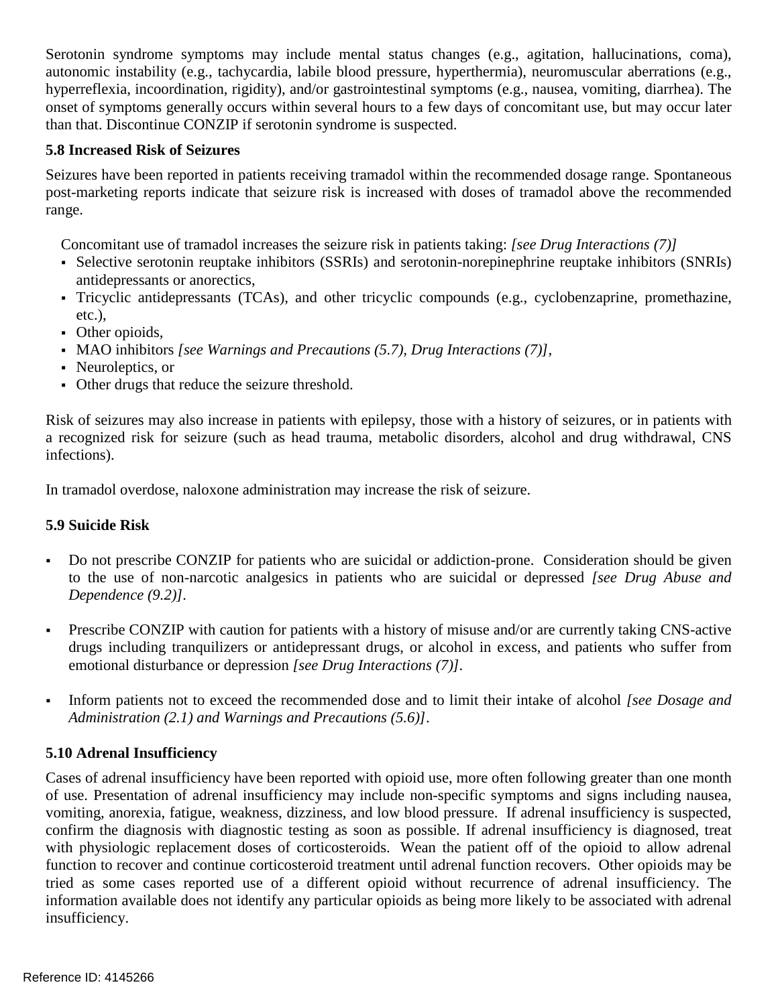onset of symptoms generally occurs within several hours to a few days of concomitant use, but may occur later than that. Discontinue CONZIP if serotonin syndrome is suspected. Serotonin syndrome symptoms may include mental status changes (e.g., agitation, hallucinations, coma), autonomic instability (e.g., tachycardia, labile blood pressure, hyperthermia), neuromuscular aberrations (e.g., hyperreflexia, incoordination, rigidity), and/or gastrointestinal symptoms (e.g., nausea, vomiting, diarrhea). The

## **5.8 Increased Risk of Seizures**

 post-marketing reports indicate that seizure risk is increased with doses of tramadol above the recommended Seizures have been reported in patients receiving tramadol within the recommended dosage range. Spontaneous range.

Concomitant use of tramadol increases the seizure risk in patients taking: *[see Drug Interactions (7)]* 

- Selective serotonin reuptake inhibitors (SSRIs) and serotonin-norepinephrine reuptake inhibitors (SNRIs) antidepressants or anorectics,
- Tricyclic antidepressants (TCAs), and other tricyclic compounds (e.g., cyclobenzaprine, promethazine, etc.),
- Other opioids,
- MAO inhibitors *[see Warnings and Precautions (5.7), Drug Interactions (7)],*
- Neuroleptics, or
- Other drugs that reduce the seizure threshold.

 Risk of seizures may also increase in patients with epilepsy, those with a history of seizures, or in patients with a recognized risk for seizure (such as head trauma, metabolic disorders, alcohol and drug withdrawal, CNS infections).

In tramadol overdose, naloxone administration may increase the risk of seizure.

## **5.9 Suicide Risk**

- Do not prescribe CONZIP for patients who are suicidal or addiction-prone. Consideration should be given *Dependence (9.2)].*  to the use of non-narcotic analgesics in patients who are suicidal or depressed *[see Drug Abuse and*
- Prescribe CONZIP with caution for patients with a history of misuse and/or are currently taking CNS-active drugs including tranquilizers or antidepressant drugs, or alcohol in excess, and patients who suffer from emotional disturbance or depression *[see Drug Interactions (7)].*
- Inform patients not to exceed the recommended dose and to limit their intake of alcohol *[see Dosage and Administration (2.1) and Warnings and Precautions (5.6)]*.

## **5.10 Adrenal Insufficiency**

 vomiting, anorexia, fatigue, weakness, dizziness, and low blood pressure. If adrenal insufficiency is suspected, with physiologic replacement doses of corticosteroids. Wean the patient off of the opioid to allow adrenal Cases of adrenal insufficiency have been reported with opioid use, more often following greater than one month of use. Presentation of adrenal insufficiency may include non-specific symptoms and signs including nausea, confirm the diagnosis with diagnostic testing as soon as possible. If adrenal insufficiency is diagnosed, treat function to recover and continue corticosteroid treatment until adrenal function recovers. Other opioids may be tried as some cases reported use of a different opioid without recurrence of adrenal insufficiency. The information available does not identify any particular opioids as being more likely to be associated with adrenal insufficiency.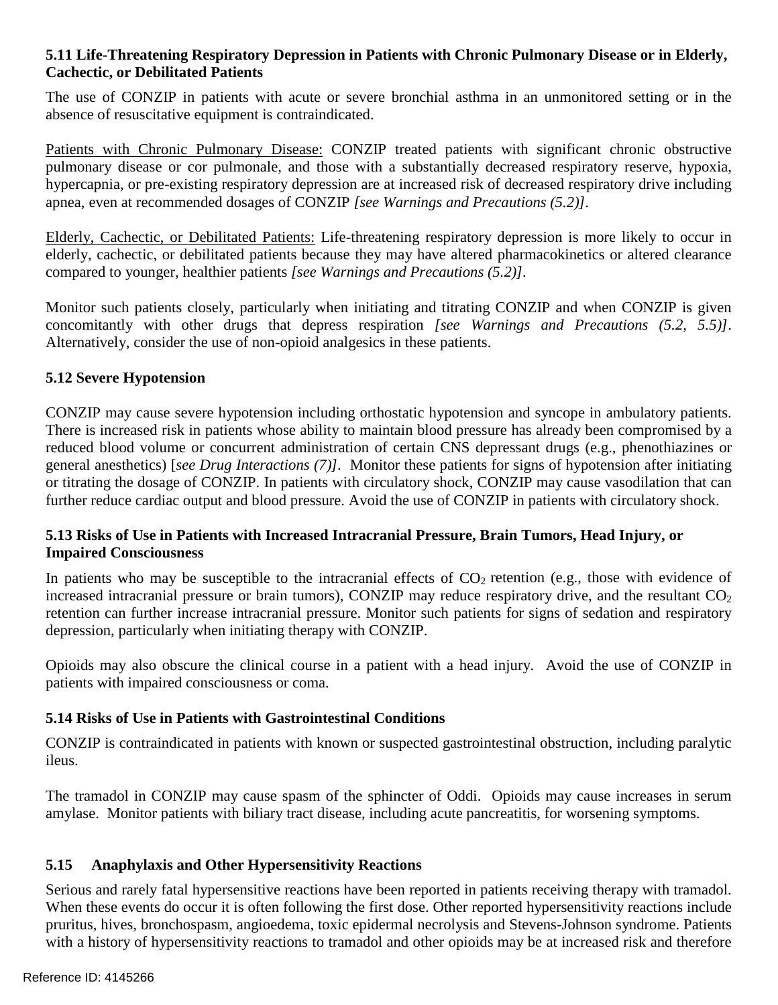## **5.11 Life-Threatening Respiratory Depression in Patients with Chronic Pulmonary Disease or in Elderly, Cachectic, or Debilitated Patients**

 The use of CONZIP in patients with acute or severe bronchial asthma in an unmonitored setting or in the absence of resuscitative equipment is contraindicated.

 apnea, even at recommended dosages of CONZIP *[see Warnings and Precautions (5.2)].* Patients with Chronic Pulmonary Disease: CONZIP treated patients with significant chronic obstructive pulmonary disease or cor pulmonale, and those with a substantially decreased respiratory reserve, hypoxia, hypercapnia, or pre-existing respiratory depression are at increased risk of decreased respiratory drive including

Elderly, Cachectic, or Debilitated Patients: Life-threatening respiratory depression is more likely to occur in elderly, cachectic, or debilitated patients because they may have altered pharmacokinetics or altered clearance compared to younger, healthier patients *[see Warnings and Precautions (5.2)].* 

Monitor such patients closely, particularly when initiating and titrating CONZIP and when CONZIP is given concomitantly with other drugs that depress respiration *[see Warnings and Precautions (5.2, 5.5)]*. Alternatively, consider the use of non-opioid analgesics in these patients.

# **5.12 Severe Hypotension**

 There is increased risk in patients whose ability to maintain blood pressure has already been compromised by a general anesthetics) [*see Drug Interactions (7)].* Monitor these patients for signs of hypotension after initiating further reduce cardiac output and blood pressure. Avoid the use of CONZIP in patients with circulatory shock. CONZIP may cause severe hypotension including orthostatic hypotension and syncope in ambulatory patients. reduced blood volume or concurrent administration of certain CNS depressant drugs (e.g., phenothiazines or or titrating the dosage of CONZIP. In patients with circulatory shock, CONZIP may cause vasodilation that can

## **5.13 Risks of Use in Patients with Increased Intracranial Pressure, Brain Tumors, Head Injury, or Impaired Consciousness**

In patients who may be susceptible to the intracranial effects of  $CO<sub>2</sub>$  retention (e.g., those with evidence of increased intracranial pressure or brain tumors), CONZIP may reduce respiratory drive, and the resultant  $CO<sub>2</sub>$ retention can further increase intracranial pressure. Monitor such patients for signs of sedation and respiratory depression, particularly when initiating therapy with CONZIP.

Opioids may also obscure the clinical course in a patient with a head injury. Avoid the use of CONZIP in patients with impaired consciousness or coma.

## **5.14 Risks of Use in Patients with Gastrointestinal Conditions**

ileus. CONZIP is contraindicated in patients with known or suspected gastrointestinal obstruction, including paralytic

The tramadol in CONZIP may cause spasm of the sphincter of Oddi. Opioids may cause increases in serum amylase. Monitor patients with biliary tract disease, including acute pancreatitis, for worsening symptoms.

#### **5.15 Anaphylaxis and Other Hypersensitivity Reactions**

Serious and rarely fatal hypersensitive reactions have been reported in patients receiving therapy with tramadol. When these events do occur it is often following the first dose. Other reported hypersensitivity reactions include pruritus, hives, bronchospasm, angioedema, toxic epidermal necrolysis and Stevens-Johnson syndrome. Patients with a history of hypersensitivity reactions to tramadol and other opioids may be at increased risk and therefore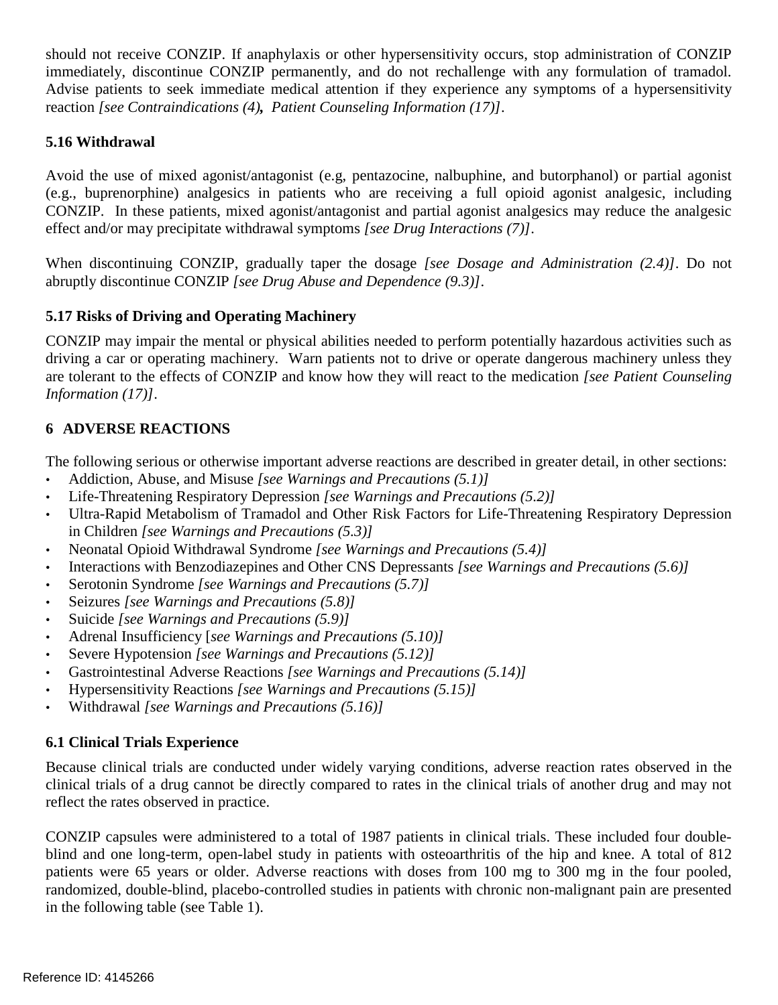immediately, discontinue CONZIP permanently, and do not rechallenge with any formulation of tramadol. should not receive CONZIP. If anaphylaxis or other hypersensitivity occurs, stop administration of CONZIP Advise patients to seek immediate medical attention if they experience any symptoms of a hypersensitivity reaction *[see Contraindications (4), Patient Counseling Information (17)]*.

# **5.16 Withdrawal**

Avoid the use of mixed agonist/antagonist (e.g, pentazocine, nalbuphine, and butorphanol) or partial agonist (e.g., buprenorphine) analgesics in patients who are receiving a full opioid agonist analgesic, including CONZIP. In these patients, mixed agonist/antagonist and partial agonist analgesics may reduce the analgesic effect and/or may precipitate withdrawal symptoms *[see Drug Interactions (7)]*.

 abruptly discontinue CONZIP *[see Drug Abuse and Dependence (9.3)]*. When discontinuing CONZIP, gradually taper the dosage *[see Dosage and Administration (2.4)]*. Do not

# **5.17 Risks of Driving and Operating Machinery**

 are tolerant to the effects of CONZIP and know how they will react to the medication *[see Patient Counseling*  CONZIP may impair the mental or physical abilities needed to perform potentially hazardous activities such as driving a car or operating machinery. Warn patients not to drive or operate dangerous machinery unless they *Information (17)]*.

# **6 ADVERSE REACTIONS**

The following serious or otherwise important adverse reactions are described in greater detail, in other sections:

- • Addiction, Abuse, and Misuse *[see Warnings and Precautions (5.1)]*
- Life-Threatening Respiratory Depression *[see Warnings and Precautions (5.2)]*
- Ultra-Rapid Metabolism of Tramadol and Other Risk Factors for Life-Threatening Respiratory Depression in Children *[see Warnings and Precautions (5.3)]*
- Neonatal Opioid Withdrawal Syndrome *[see Warnings and Precautions (5.4)]*
- Interactions with Benzodiazepines and Other CNS Depressants *[see Warnings and Precautions (5.6)]*
- • Serotonin Syndrome *[see Warnings and Precautions (5.7)]*
- • Seizures *[see Warnings and Precautions (5.8)]*
- • Suicide *[see Warnings and Precautions (5.9)]*
- • Adrenal Insufficiency [*see Warnings and Precautions (5.10)]*
- Severe Hypotension *[see Warnings and Precautions (5.12)]*
- • Gastrointestinal Adverse Reactions *[see Warnings and Precautions (5.14)]*
- • Hypersensitivity Reactions *[see Warnings and Precautions (5.15)]*
- Withdrawal *[see Warnings and Precautions (5.16)]*

# **6.1 Clinical Trials Experience**

 Because clinical trials are conducted under widely varying conditions, adverse reaction rates observed in the clinical trials of a drug cannot be directly compared to rates in the clinical trials of another drug and may not reflect the rates observed in practice.

 CONZIP capsules were administered to a total of 1987 patients in clinical trials. These included four double- patients were 65 years or older. Adverse reactions with doses from 100 mg to 300 mg in the four pooled, blind and one long-term, open-label study in patients with osteoarthritis of the hip and knee. A total of 812 randomized, double-blind, placebo-controlled studies in patients with chronic non-malignant pain are presented in the following table (see Table 1).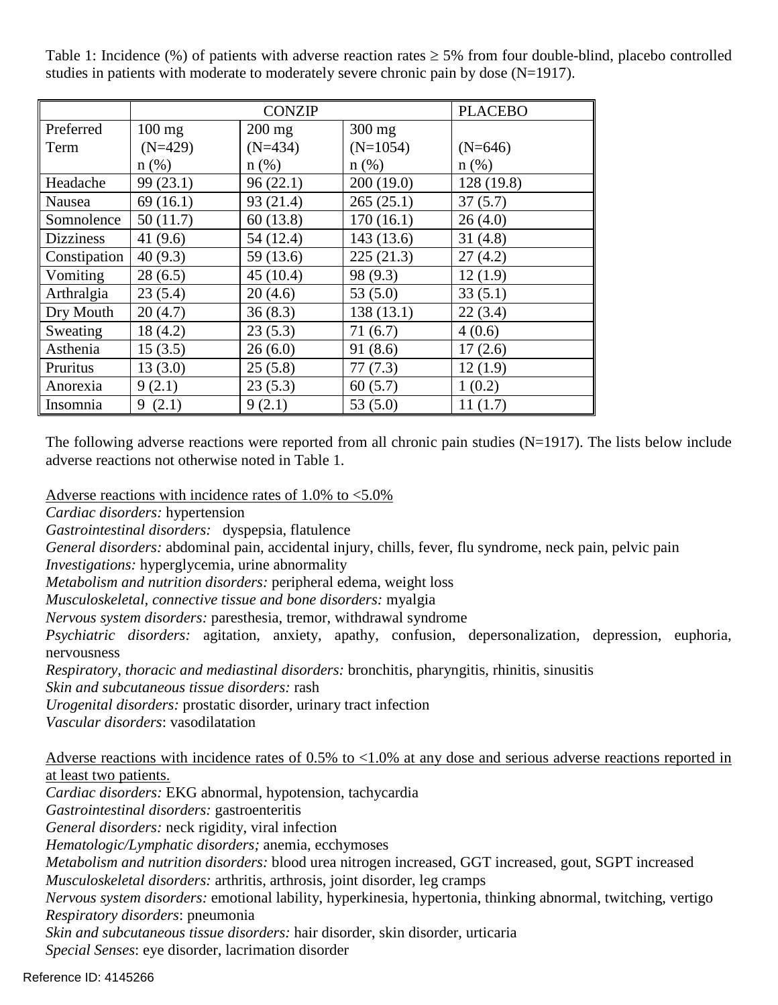Table 1: Incidence  $(\%)$  of patients with adverse reaction rates  $\geq$  5% from four double-blind, placebo controlled studies in patients with moderate to moderately severe chronic pain by dose (N=1917).

|                  |            | <b>CONZIP</b> |            | <b>PLACEBO</b> |
|------------------|------------|---------------|------------|----------------|
| Preferred        | $100$ mg   | $200$ mg      | 300 mg     |                |
| Term             | $(N=429)$  | $(N=434)$     | $(N=1054)$ | $(N=646)$      |
|                  | $n$ (%)    | $n$ (%)       | $n$ (%)    | $n$ (%)        |
| Headache         | 99(23.1)   | 96(22.1)      | 200(19.0)  | 128 (19.8)     |
| Nausea           | 69(16.1)   | 93 (21.4)     | 265(25.1)  | 37(5.7)        |
| Somnolence       | 50(11.7)   | 60(13.8)      | 170(16.1)  | 26(4.0)        |
| <b>Dizziness</b> | 41 $(9.6)$ | 54 (12.4)     | 143 (13.6) | 31(4.8)        |
| Constipation     | 40(9.3)    | 59 (13.6)     | 225(21.3)  | 27(4.2)        |
| Vomiting         | 28(6.5)    | 45(10.4)      | 98 (9.3)   | 12(1.9)        |
| Arthralgia       | 23(5.4)    | 20(4.6)       | 53 $(5.0)$ | 33(5.1)        |
| Dry Mouth        | 20(4.7)    | 36(8.3)       | 138(13.1)  | 22(3.4)        |
| Sweating         | 18(4.2)    | 23(5.3)       | 71(6.7)    | 4(0.6)         |
| Asthenia         | 15(3.5)    | 26(6.0)       | 91(8.6)    | 17(2.6)        |
| Pruritus         | 13(3.0)    | 25(5.8)       | 77(7.3)    | 12(1.9)        |
| Anorexia         | 9(2.1)     | 23(5.3)       | 60(5.7)    | 1(0.2)         |
| Insomnia         | 9(2.1)     | 9(2.1)        | 53(5.0)    | 11(1.7)        |

 The following adverse reactions were reported from all chronic pain studies (N=1917). The lists below include adverse reactions not otherwise noted in Table 1.

Adverse reactions with incidence rates of 1.0% to <5.0%

*Cardiac disorders:* hypertension

*Gastrointestinal disorders:* dyspepsia, flatulence

*General disorders:* abdominal pain, accidental injury, chills, fever, flu syndrome, neck pain, pelvic pain

*Investigations:* hyperglycemia, urine abnormality

*Metabolism and nutrition disorders:* peripheral edema, weight loss

*Musculoskeletal, connective tissue and bone disorders:* myalgia

*Nervous system disorders:* paresthesia, tremor, withdrawal syndrome

*Psychiatric disorders:* agitation, anxiety, apathy, confusion, depersonalization, depression, euphoria, nervousness

*Respiratory, thoracic and mediastinal disorders:* bronchitis, pharyngitis, rhinitis, sinusitis

*Skin and subcutaneous tissue disorders:* rash

*Urogenital disorders:* prostatic disorder, urinary tract infection

*Vascular disorders*: vasodilatation

Adverse reactions with incidence rates of 0.5% to <1.0% at any dose and serious adverse reactions reported in at least two patients.

*Cardiac disorders:* EKG abnormal, hypotension, tachycardia

*Gastrointestinal disorders:* gastroenteritis

*General disorders:* neck rigidity, viral infection

*Hematologic/Lymphatic disorders;* anemia, ecchymoses

*Metabolism and nutrition disorders:* blood urea nitrogen increased, GGT increased, gout, SGPT increased *Musculoskeletal disorders:* arthritis, arthrosis, joint disorder, leg cramps

 *Respiratory disorders*: pneumonia *Nervous system disorders:* emotional lability, hyperkinesia, hypertonia, thinking abnormal, twitching, vertigo

*Skin and subcutaneous tissue disorders:* hair disorder, skin disorder, urticaria

*Special Senses*: eye disorder, lacrimation disorder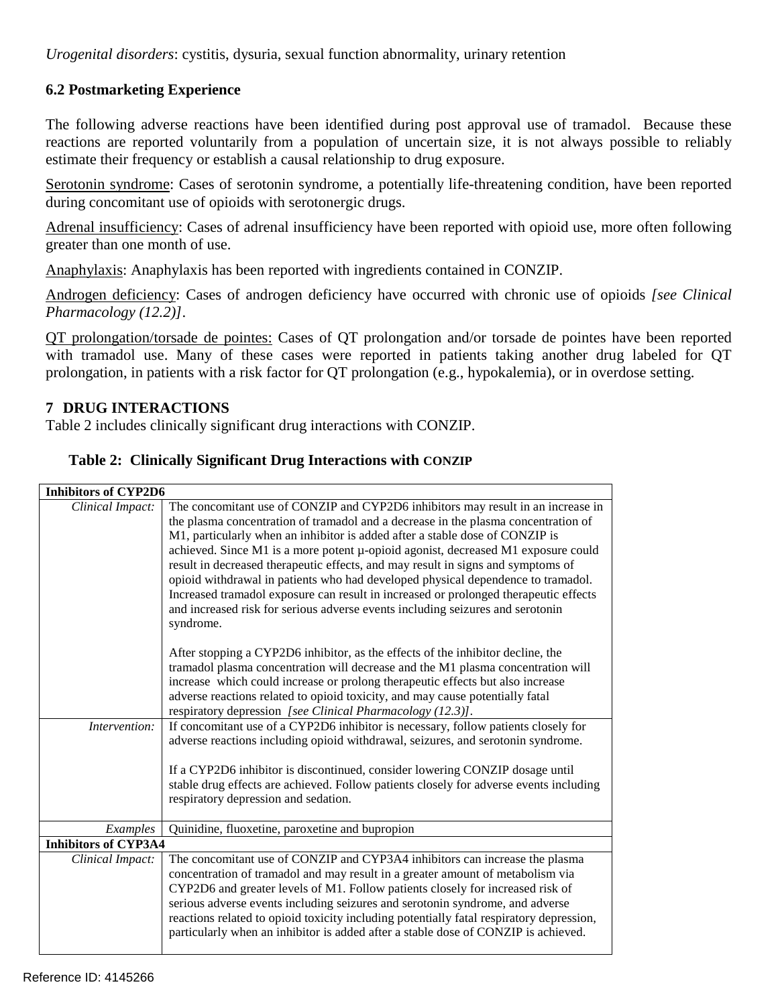*Urogenital disorders*: cystitis, dysuria, sexual function abnormality, urinary retention

# **6.2 Postmarketing Experience**

The following adverse reactions have been identified during post approval use of tramadol. Because these reactions are reported voluntarily from a population of uncertain size, it is not always possible to reliably estimate their frequency or establish a causal relationship to drug exposure.

Serotonin syndrome: Cases of serotonin syndrome, a potentially life-threatening condition, have been reported during concomitant use of opioids with serotonergic drugs.

Adrenal insufficiency: Cases of adrenal insufficiency have been reported with opioid use, more often following greater than one month of use.

Anaphylaxis: Anaphylaxis has been reported with ingredients contained in CONZIP.

Androgen deficiency: Cases of androgen deficiency have occurred with chronic use of opioids *[see Clinical Pharmacology (12.2)]*.

 prolongation, in patients with a risk factor for QT prolongation (e.g., hypokalemia), or in overdose setting. QT prolongation/torsade de pointes: Cases of QT prolongation and/or torsade de pointes have been reported with tramadol use. Many of these cases were reported in patients taking another drug labeled for QT

## **7 DRUG INTERACTIONS**

Table 2 includes clinically significant drug interactions with CONZIP.

| <b>Inhibitors of CYP2D6</b><br>Clinical Impact:<br>Intervention: | The concomitant use of CONZIP and CYP2D6 inhibitors may result in an increase in<br>the plasma concentration of tramadol and a decrease in the plasma concentration of<br>M1, particularly when an inhibitor is added after a stable dose of CONZIP is<br>achieved. Since M1 is a more potent $\mu$ -opioid agonist, decreased M1 exposure could<br>result in decreased therapeutic effects, and may result in signs and symptoms of<br>opioid withdrawal in patients who had developed physical dependence to tramadol.<br>Increased tramadol exposure can result in increased or prolonged therapeutic effects<br>and increased risk for serious adverse events including seizures and serotonin<br>syndrome.<br>After stopping a CYP2D6 inhibitor, as the effects of the inhibitor decline, the<br>tramadol plasma concentration will decrease and the M1 plasma concentration will<br>increase which could increase or prolong therapeutic effects but also increase<br>adverse reactions related to opioid toxicity, and may cause potentially fatal<br>respiratory depression [see Clinical Pharmacology (12.3)].<br>If concomitant use of a CYP2D6 inhibitor is necessary, follow patients closely for<br>adverse reactions including opioid withdrawal, seizures, and serotonin syndrome. |
|------------------------------------------------------------------|---------------------------------------------------------------------------------------------------------------------------------------------------------------------------------------------------------------------------------------------------------------------------------------------------------------------------------------------------------------------------------------------------------------------------------------------------------------------------------------------------------------------------------------------------------------------------------------------------------------------------------------------------------------------------------------------------------------------------------------------------------------------------------------------------------------------------------------------------------------------------------------------------------------------------------------------------------------------------------------------------------------------------------------------------------------------------------------------------------------------------------------------------------------------------------------------------------------------------------------------------------------------------------------------------|
|                                                                  | If a CYP2D6 inhibitor is discontinued, consider lowering CONZIP dosage until<br>stable drug effects are achieved. Follow patients closely for adverse events including<br>respiratory depression and sedation.                                                                                                                                                                                                                                                                                                                                                                                                                                                                                                                                                                                                                                                                                                                                                                                                                                                                                                                                                                                                                                                                                    |
| Examples                                                         | Quinidine, fluoxetine, paroxetine and bupropion                                                                                                                                                                                                                                                                                                                                                                                                                                                                                                                                                                                                                                                                                                                                                                                                                                                                                                                                                                                                                                                                                                                                                                                                                                                   |
| <b>Inhibitors of CYP3A4</b>                                      |                                                                                                                                                                                                                                                                                                                                                                                                                                                                                                                                                                                                                                                                                                                                                                                                                                                                                                                                                                                                                                                                                                                                                                                                                                                                                                   |
| Clinical Impact:                                                 | The concomitant use of CONZIP and CYP3A4 inhibitors can increase the plasma<br>concentration of tramadol and may result in a greater amount of metabolism via<br>CYP2D6 and greater levels of M1. Follow patients closely for increased risk of<br>serious adverse events including seizures and serotonin syndrome, and adverse<br>reactions related to opioid toxicity including potentially fatal respiratory depression,<br>particularly when an inhibitor is added after a stable dose of CONZIP is achieved.                                                                                                                                                                                                                                                                                                                                                                                                                                                                                                                                                                                                                                                                                                                                                                                |

## **Table 2: Clinically Significant Drug Interactions with CONZIP**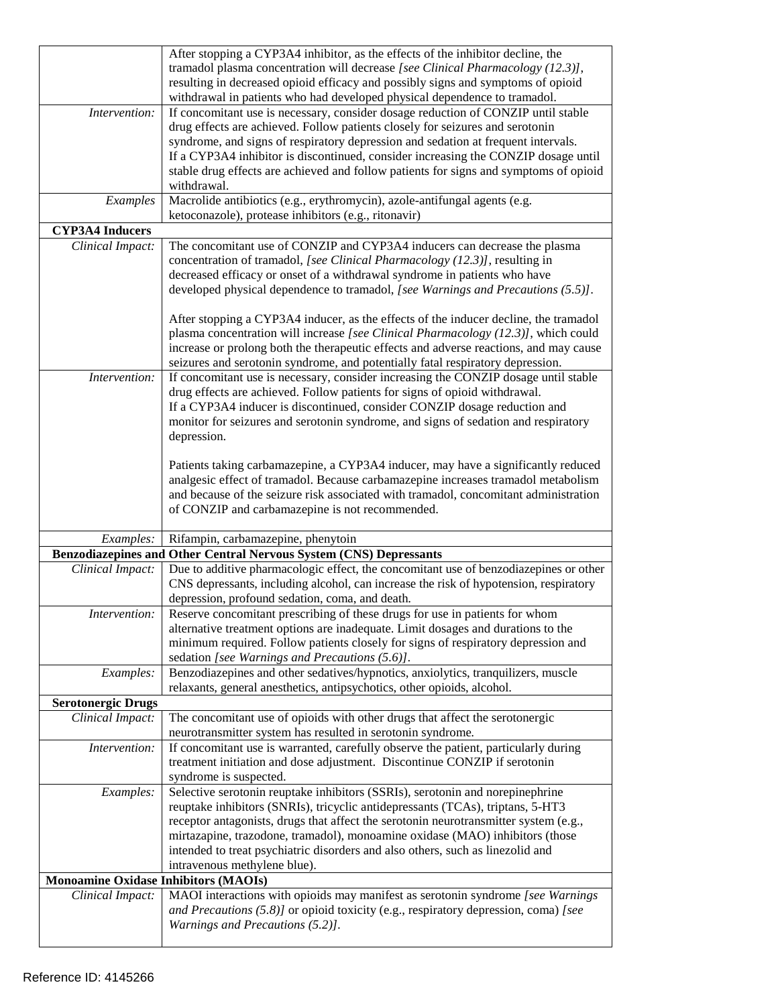|                           | After stopping a CYP3A4 inhibitor, as the effects of the inhibitor decline, the                                         |
|---------------------------|-------------------------------------------------------------------------------------------------------------------------|
|                           | tramadol plasma concentration will decrease [see Clinical Pharmacology (12.3)],                                         |
|                           | resulting in decreased opioid efficacy and possibly signs and symptoms of opioid                                        |
|                           | withdrawal in patients who had developed physical dependence to tramadol.                                               |
| Intervention:             | If concomitant use is necessary, consider dosage reduction of CONZIP until stable                                       |
|                           | drug effects are achieved. Follow patients closely for seizures and serotonin                                           |
|                           | syndrome, and signs of respiratory depression and sedation at frequent intervals.                                       |
|                           | If a CYP3A4 inhibitor is discontinued, consider increasing the CONZIP dosage until                                      |
|                           | stable drug effects are achieved and follow patients for signs and symptoms of opioid                                   |
|                           | withdrawal.                                                                                                             |
| Examples                  | Macrolide antibiotics (e.g., erythromycin), azole-antifungal agents (e.g.                                               |
|                           | ketoconazole), protease inhibitors (e.g., ritonavir)                                                                    |
| <b>CYP3A4 Inducers</b>    |                                                                                                                         |
| Clinical Impact:          | The concomitant use of CONZIP and CYP3A4 inducers can decrease the plasma                                               |
|                           | concentration of tramadol, [see Clinical Pharmacology (12.3)], resulting in                                             |
|                           | decreased efficacy or onset of a withdrawal syndrome in patients who have                                               |
|                           | developed physical dependence to tramadol, [see Warnings and Precautions (5.5)].                                        |
|                           |                                                                                                                         |
|                           | After stopping a CYP3A4 inducer, as the effects of the inducer decline, the tramadol                                    |
|                           | plasma concentration will increase [see Clinical Pharmacology (12.3)], which could                                      |
|                           | increase or prolong both the therapeutic effects and adverse reactions, and may cause                                   |
|                           | seizures and serotonin syndrome, and potentially fatal respiratory depression.                                          |
| Intervention:             | If concomitant use is necessary, consider increasing the CONZIP dosage until stable                                     |
|                           | drug effects are achieved. Follow patients for signs of opioid withdrawal.                                              |
|                           | If a CYP3A4 inducer is discontinued, consider CONZIP dosage reduction and                                               |
|                           | monitor for seizures and serotonin syndrome, and signs of sedation and respiratory                                      |
|                           | depression.                                                                                                             |
|                           |                                                                                                                         |
|                           | Patients taking carbamazepine, a CYP3A4 inducer, may have a significantly reduced                                       |
|                           | analgesic effect of tramadol. Because carbamazepine increases tramadol metabolism                                       |
|                           | and because of the seizure risk associated with tramadol, concomitant administration                                    |
|                           |                                                                                                                         |
|                           |                                                                                                                         |
|                           | of CONZIP and carbamazepine is not recommended.                                                                         |
|                           |                                                                                                                         |
| Examples:                 | Rifampin, carbamazepine, phenytoin                                                                                      |
|                           | Benzodiazepines and Other Central Nervous System (CNS) Depressants                                                      |
| Clinical Impact:          | Due to additive pharmacologic effect, the concomitant use of benzodiazepines or other                                   |
|                           | CNS depressants, including alcohol, can increase the risk of hypotension, respiratory                                   |
|                           | depression, profound sedation, coma, and death.                                                                         |
| Intervention:             | Reserve concomitant prescribing of these drugs for use in patients for whom                                             |
|                           | alternative treatment options are inadequate. Limit dosages and durations to the                                        |
|                           | minimum required. Follow patients closely for signs of respiratory depression and                                       |
|                           | sedation [see Warnings and Precautions (5.6)].                                                                          |
| Examples:                 | Benzodiazepines and other sedatives/hypnotics, anxiolytics, tranquilizers, muscle                                       |
|                           | relaxants, general anesthetics, antipsychotics, other opioids, alcohol.                                                 |
| <b>Serotonergic Drugs</b> |                                                                                                                         |
| Clinical Impact:          | The concomitant use of opioids with other drugs that affect the serotonergic                                            |
|                           | neurotransmitter system has resulted in serotonin syndrome.                                                             |
| Intervention:             | If concomitant use is warranted, carefully observe the patient, particularly during                                     |
|                           | treatment initiation and dose adjustment. Discontinue CONZIP if serotonin                                               |
|                           | syndrome is suspected.                                                                                                  |
| Examples:                 | Selective serotonin reuptake inhibitors (SSRIs), serotonin and norepinephrine                                           |
|                           | reuptake inhibitors (SNRIs), tricyclic antidepressants (TCAs), triptans, 5-HT3                                          |
|                           | receptor antagonists, drugs that affect the serotonin neurotransmitter system (e.g.,                                    |
|                           | mirtazapine, trazodone, tramadol), monoamine oxidase (MAO) inhibitors (those                                            |
|                           | intended to treat psychiatric disorders and also others, such as linezolid and                                          |
|                           | intravenous methylene blue).                                                                                            |
|                           |                                                                                                                         |
|                           | <b>Monoamine Oxidase Inhibitors (MAOIs)</b>                                                                             |
| Clinical Impact:          | MAOI interactions with opioids may manifest as serotonin syndrome [see Warnings                                         |
|                           | and Precautions (5.8)] or opioid toxicity (e.g., respiratory depression, coma) [see<br>Warnings and Precautions (5.2)]. |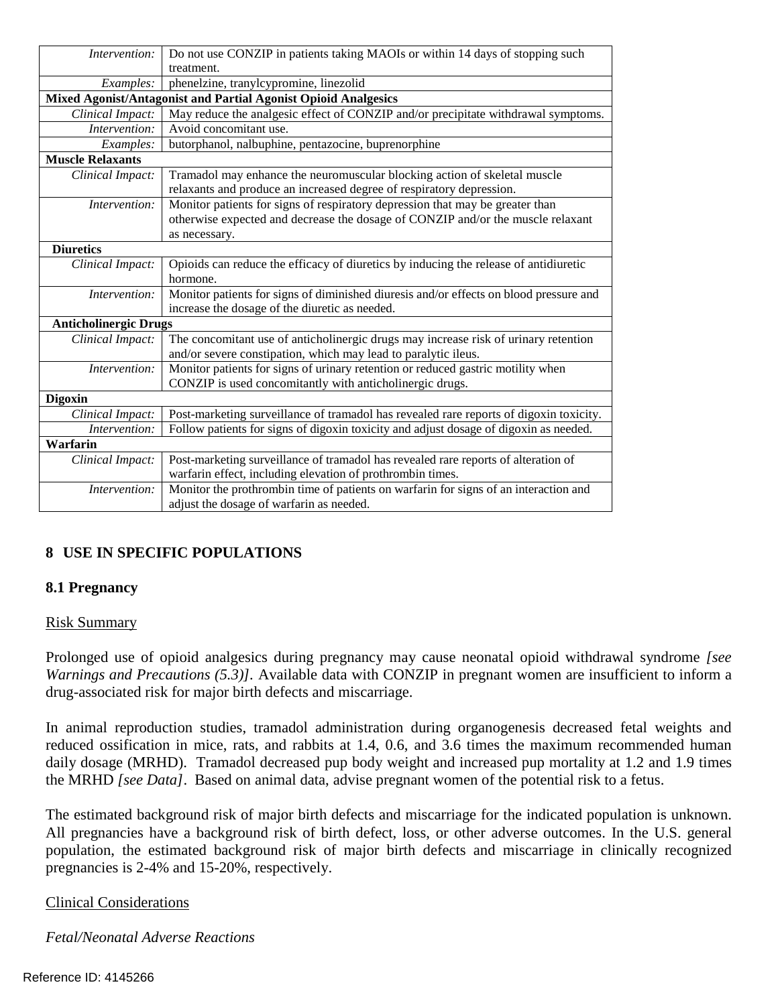| Intervention:                | Do not use CONZIP in patients taking MAOIs or within 14 days of stopping such          |
|------------------------------|----------------------------------------------------------------------------------------|
|                              | treatment.                                                                             |
| Examples:                    | phenelzine, tranylcypromine, linezolid                                                 |
|                              | Mixed Agonist/Antagonist and Partial Agonist Opioid Analgesics                         |
| Clinical Impact:             | May reduce the analgesic effect of CONZIP and/or precipitate withdrawal symptoms.      |
| Intervention:                | Avoid concomitant use.                                                                 |
| Examples:                    | butorphanol, nalbuphine, pentazocine, buprenorphine                                    |
| <b>Muscle Relaxants</b>      |                                                                                        |
| Clinical Impact:             | Tramadol may enhance the neuromuscular blocking action of skeletal muscle              |
|                              | relaxants and produce an increased degree of respiratory depression.                   |
| Intervention:                | Monitor patients for signs of respiratory depression that may be greater than          |
|                              | otherwise expected and decrease the dosage of CONZIP and/or the muscle relaxant        |
|                              | as necessary.                                                                          |
| <b>Diuretics</b>             |                                                                                        |
| Clinical Impact:             | Opioids can reduce the efficacy of diuretics by inducing the release of antidiuretic   |
|                              | hormone.                                                                               |
| Intervention:                | Monitor patients for signs of diminished diuresis and/or effects on blood pressure and |
|                              | increase the dosage of the diuretic as needed.                                         |
| <b>Anticholinergic Drugs</b> |                                                                                        |
| Clinical Impact:             | The concomitant use of anticholinergic drugs may increase risk of urinary retention    |
|                              | and/or severe constipation, which may lead to paralytic ileus.                         |
| Intervention:                | Monitor patients for signs of urinary retention or reduced gastric motility when       |
|                              | CONZIP is used concomitantly with anticholinergic drugs.                               |
| <b>Digoxin</b>               |                                                                                        |
| Clinical Impact:             | Post-marketing surveillance of tramadol has revealed rare reports of digoxin toxicity. |
| Intervention:                | Follow patients for signs of digoxin toxicity and adjust dosage of digoxin as needed.  |
| Warfarin                     |                                                                                        |
| Clinical Impact:             | Post-marketing surveillance of tramadol has revealed rare reports of alteration of     |
|                              | warfarin effect, including elevation of prothrombin times.                             |
| Intervention:                | Monitor the prothrombin time of patients on warfarin for signs of an interaction and   |
|                              | adjust the dosage of warfarin as needed.                                               |
|                              |                                                                                        |

# **8 USE IN SPECIFIC POPULATIONS**

## **8.1 Pregnancy**

## Risk Summary

 *Warnings and Precautions (5.3)].* Available data with CONZIP in pregnant women are insufficient to inform a drug-associated risk for major birth defects and miscarriage. Prolonged use of opioid analgesics during pregnancy may cause neonatal opioid withdrawal syndrome *[see* 

In animal reproduction studies, tramadol administration during organogenesis decreased fetal weights and reduced ossification in mice, rats, and rabbits at 1.4, 0.6, and 3.6 times the maximum recommended human daily dosage (MRHD). Tramadol decreased pup body weight and increased pup mortality at 1.2 and 1.9 times the MRHD *[see Data]*. Based on animal data, advise pregnant women of the potential risk to a fetus.

The estimated background risk of major birth defects and miscarriage for the indicated population is unknown. All pregnancies have a background risk of birth defect, loss, or other adverse outcomes. In the U.S. general population, the estimated background risk of major birth defects and miscarriage in clinically recognized pregnancies is 2-4% and 15-20%, respectively.

## Clinical Considerations

 *Fetal/Neonatal Adverse Reactions*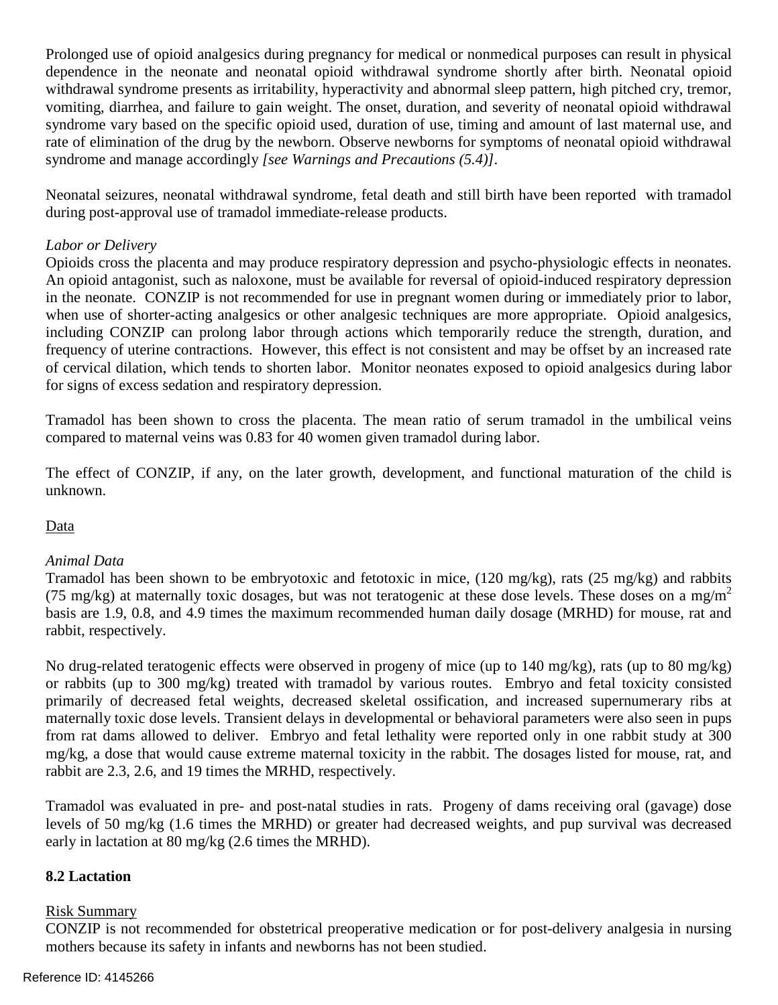Prolonged use of opioid analgesics during pregnancy for medical or nonmedical purposes can result in physical dependence in the neonate and neonatal opioid withdrawal syndrome shortly after birth. Neonatal opioid syndrome and manage accordingly *[see Warnings and Precautions (5.4)].*  withdrawal syndrome presents as irritability, hyperactivity and abnormal sleep pattern, high pitched cry, tremor, vomiting, diarrhea, and failure to gain weight. The onset, duration, and severity of neonatal opioid withdrawal syndrome vary based on the specific opioid used, duration of use, timing and amount of last maternal use, and rate of elimination of the drug by the newborn. Observe newborns for symptoms of neonatal opioid withdrawal

 during post-approval use of tramadol immediate-release products. Neonatal seizures, neonatal withdrawal syndrome, fetal death and still birth have been reported with tramadol

## *Labor or Delivery*

 An opioid antagonist, such as naloxone, must be available for reversal of opioid-induced respiratory depression including CONZIP can prolong labor through actions which temporarily reduce the strength, duration, and frequency of uterine contractions. However, this effect is not consistent and may be offset by an increased rate for signs of excess sedation and respiratory depression. Opioids cross the placenta and may produce respiratory depression and psycho-physiologic effects in neonates. in the neonate. CONZIP is not recommended for use in pregnant women during or immediately prior to labor, when use of shorter-acting analgesics or other analgesic techniques are more appropriate. Opioid analgesics, of cervical dilation, which tends to shorten labor. Monitor neonates exposed to opioid analgesics during labor

Tramadol has been shown to cross the placenta. The mean ratio of serum tramadol in the umbilical veins compared to maternal veins was 0.83 for 40 women given tramadol during labor.

The effect of CONZIP, if any, on the later growth, development, and functional maturation of the child is unknown.

Data

## *Animal Data*

Tramadol has been shown to be embryotoxic and fetotoxic in mice, (120 mg/kg), rats (25 mg/kg) and rabbits (75 mg/kg) at maternally toxic dosages, but was not teratogenic at these dose levels. These doses on a mg/m<sup>2</sup> basis are 1.9, 0.8, and 4.9 times the maximum recommended human daily dosage (MRHD) for mouse, rat and rabbit, respectively.

 or rabbits (up to 300 mg/kg) treated with tramadol by various routes. Embryo and fetal toxicity consisted maternally toxic dose levels. Transient delays in developmental or behavioral parameters were also seen in pups No drug-related teratogenic effects were observed in progeny of mice (up to 140 mg/kg), rats (up to 80 mg/kg) primarily of decreased fetal weights, decreased skeletal ossification, and increased supernumerary ribs at from rat dams allowed to deliver. Embryo and fetal lethality were reported only in one rabbit study at 300 mg/kg, a dose that would cause extreme maternal toxicity in the rabbit. The dosages listed for mouse, rat, and rabbit are 2.3, 2.6, and 19 times the MRHD, respectively.

Tramadol was evaluated in pre- and post-natal studies in rats. Progeny of dams receiving oral (gavage) dose levels of 50 mg/kg (1.6 times the MRHD) or greater had decreased weights, and pup survival was decreased early in lactation at 80 mg/kg (2.6 times the MRHD).

## **8.2 Lactation**

## Risk Summary

CONZIP is not recommended for obstetrical preoperative medication or for post-delivery analgesia in nursing mothers because its safety in infants and newborns has not been studied.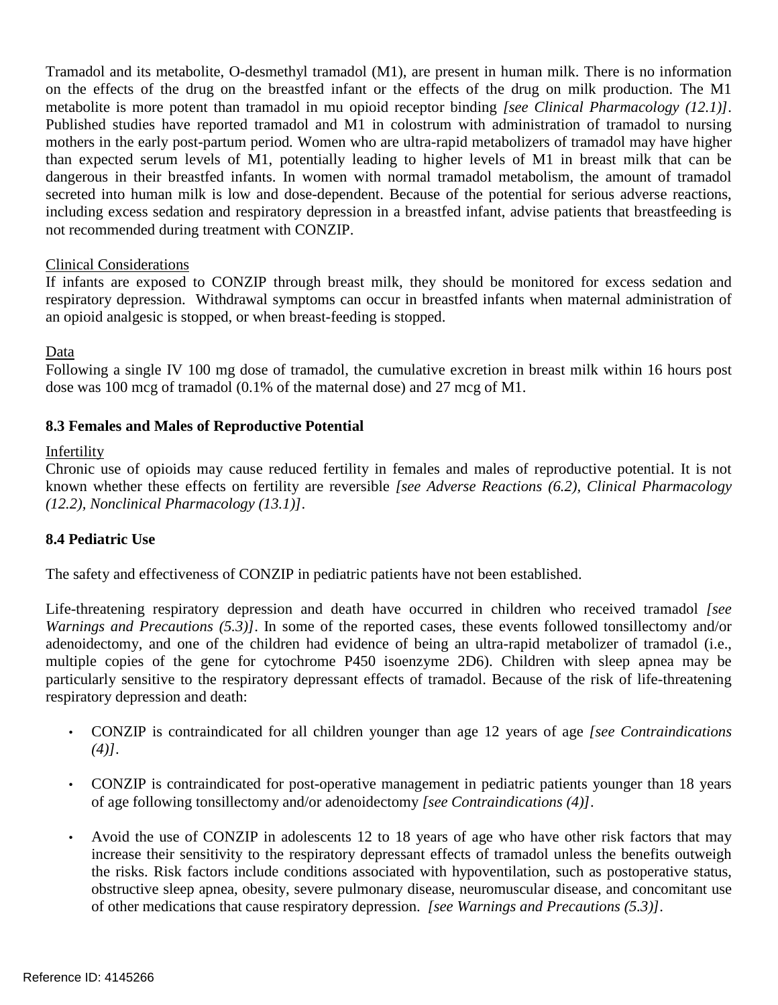including excess sedation and respiratory depression in a breastfed infant, advise patients that breastfeeding is Tramadol and its metabolite, O-desmethyl tramadol (M1), are present in human milk. There is no information on the effects of the drug on the breastfed infant or the effects of the drug on milk production. The M1 metabolite is more potent than tramadol in mu opioid receptor binding *[see Clinical Pharmacology (12.1)]*. Published studies have reported tramadol and M1 in colostrum with administration of tramadol to nursing mothers in the early post-partum period*.* Women who are ultra-rapid metabolizers of tramadol may have higher than expected serum levels of M1, potentially leading to higher levels of M1 in breast milk that can be dangerous in their breastfed infants. In women with normal tramadol metabolism, the amount of tramadol secreted into human milk is low and dose-dependent. Because of the potential for serious adverse reactions, not recommended during treatment with CONZIP.

## Clinical Considerations

If infants are exposed to CONZIP through breast milk, they should be monitored for excess sedation and respiratory depression. Withdrawal symptoms can occur in breastfed infants when maternal administration of an opioid analgesic is stopped, or when breast-feeding is stopped.

## Data

 Following a single IV 100 mg dose of tramadol, the cumulative excretion in breast milk within 16 hours post dose was 100 mcg of tramadol (0.1% of the maternal dose) and 27 mcg of M1.

## **8.3 Females and Males of Reproductive Potential**

## Infertility

 Chronic use of opioids may cause reduced fertility in females and males of reproductive potential. It is not known whether these effects on fertility are reversible *[see Adverse Reactions (6.2), Clinical Pharmacology (12.2), Nonclinical Pharmacology (13.1)]*.

## **8.4 Pediatric Use**

The safety and effectiveness of CONZIP in pediatric patients have not been established.

 multiple copies of the gene for cytochrome P450 isoenzyme 2D6). Children with sleep apnea may be Life-threatening respiratory depression and death have occurred in children who received tramadol *[see Warnings and Precautions (5.3)]*. In some of the reported cases, these events followed tonsillectomy and/or adenoidectomy, and one of the children had evidence of being an ultra-rapid metabolizer of tramadol (i.e., particularly sensitive to the respiratory depressant effects of tramadol. Because of the risk of life-threatening respiratory depression and death:

- • CONZIP is contraindicated for all children younger than age 12 years of age *[see Contraindications (4)]*.
- CONZIP is contraindicated for post-operative management in pediatric patients younger than 18 years of age following tonsillectomy and/or adenoidectomy *[see Contraindications (4)]*.
- Avoid the use of CONZIP in adolescents 12 to 18 years of age who have other risk factors that may increase their sensitivity to the respiratory depressant effects of tramadol unless the benefits outweigh of other medications that cause respiratory depression. *[see Warnings and Precautions (5.3)]*. the risks. Risk factors include conditions associated with hypoventilation, such as postoperative status, obstructive sleep apnea, obesity, severe pulmonary disease, neuromuscular disease, and concomitant use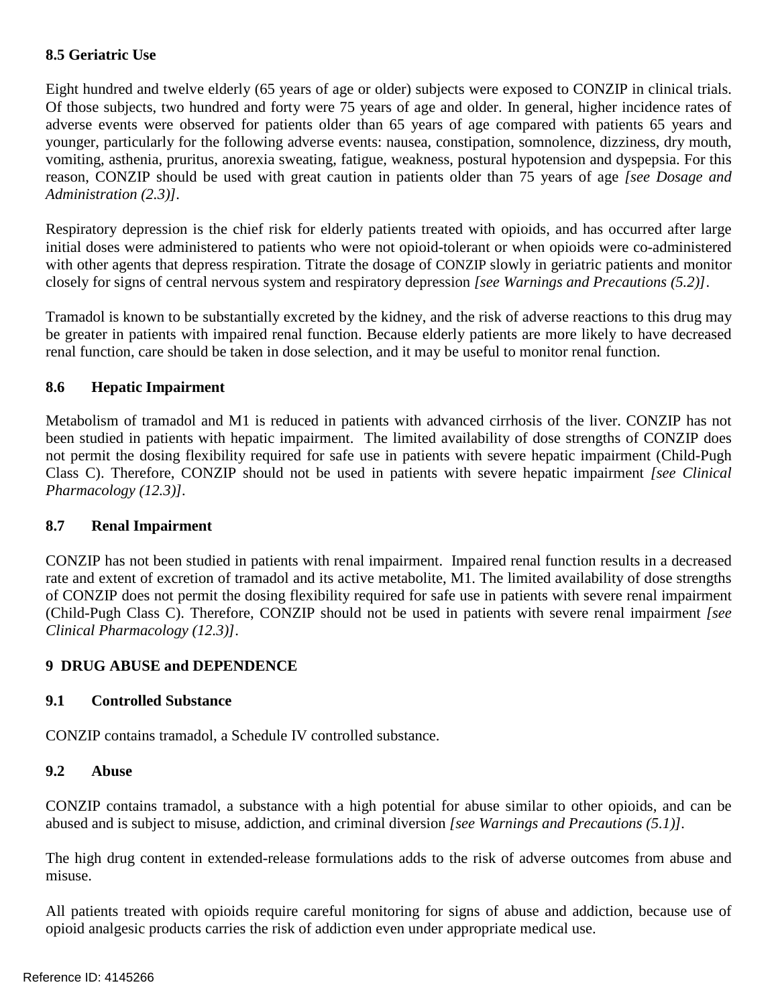# **8.5 Geriatric Use**

 Of those subjects, two hundred and forty were 75 years of age and older. In general, higher incidence rates of  reason, CONZIP should be used with great caution in patients older than 75 years of age *[see Dosage and Administration (2.3)].*  Eight hundred and twelve elderly (65 years of age or older) subjects were exposed to CONZIP in clinical trials. adverse events were observed for patients older than 65 years of age compared with patients 65 years and younger, particularly for the following adverse events: nausea, constipation, somnolence, dizziness, dry mouth, vomiting, asthenia, pruritus, anorexia sweating, fatigue, weakness, postural hypotension and dyspepsia. For this

 with other agents that depress respiration. Titrate the dosage of CONZIP slowly in geriatric patients and monitor Respiratory depression is the chief risk for elderly patients treated with opioids, and has occurred after large initial doses were administered to patients who were not opioid-tolerant or when opioids were co-administered closely for signs of central nervous system and respiratory depression *[see Warnings and Precautions (5.2)]*.

Tramadol is known to be substantially excreted by the kidney, and the risk of adverse reactions to this drug may be greater in patients with impaired renal function. Because elderly patients are more likely to have decreased renal function, care should be taken in dose selection, and it may be useful to monitor renal function.

# **8.6 Hepatic Impairment**

Metabolism of tramadol and M1 is reduced in patients with advanced cirrhosis of the liver. CONZIP has not been studied in patients with hepatic impairment. The limited availability of dose strengths of CONZIP does not permit the dosing flexibility required for safe use in patients with severe hepatic impairment (Child-Pugh Class C). Therefore, CONZIP should not be used in patients with severe hepatic impairment *[see Clinical Pharmacology (12.3)].* 

#### **8.7 Renal Impairment**

CONZIP has not been studied in patients with renal impairment. Impaired renal function results in a decreased rate and extent of excretion of tramadol and its active metabolite, M1. The limited availability of dose strengths of CONZIP does not permit the dosing flexibility required for safe use in patients with severe renal impairment (Child-Pugh Class C). Therefore, CONZIP should not be used in patients with severe renal impairment *[see Clinical Pharmacology (12.3)]*.

## **9 DRUG ABUSE and DEPENDENCE**

## **9.1 Controlled Substance**

CONZIP contains tramadol, a Schedule IV controlled substance.

#### $9.2$ **9.2 Abuse**

CONZIP contains tramadol, a substance with a high potential for abuse similar to other opioids, and can be abused and is subject to misuse, addiction, and criminal diversion *[see Warnings and Precautions (5.1)].* 

The high drug content in extended-release formulations adds to the risk of adverse outcomes from abuse and misuse.

All patients treated with opioids require careful monitoring for signs of abuse and addiction, because use of opioid analgesic products carries the risk of addiction even under appropriate medical use.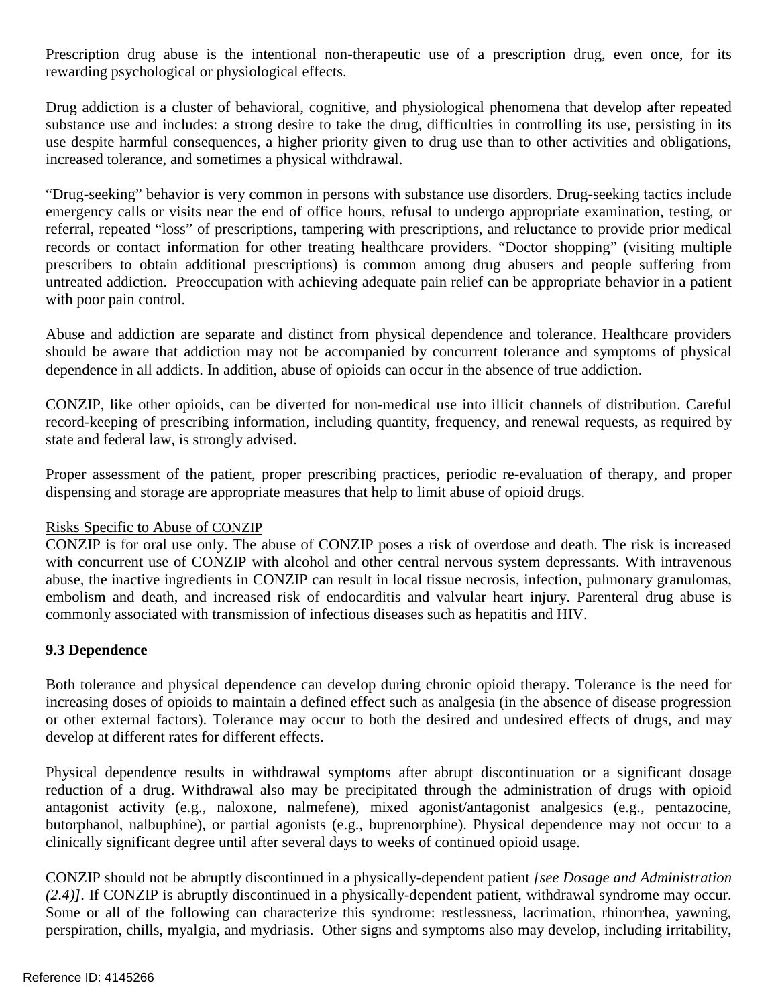rewarding psychological or physiological effects. Prescription drug abuse is the intentional non-therapeutic use of a prescription drug, even once, for its

Drug addiction is a cluster of behavioral, cognitive, and physiological phenomena that develop after repeated substance use and includes: a strong desire to take the drug, difficulties in controlling its use, persisting in its use despite harmful consequences, a higher priority given to drug use than to other activities and obligations, increased tolerance, and sometimes a physical withdrawal.

 emergency calls or visits near the end of office hours, refusal to undergo appropriate examination, testing, or untreated addiction. Preoccupation with achieving adequate pain relief can be appropriate behavior in a patient "Drug-seeking" behavior is very common in persons with substance use disorders. Drug-seeking tactics include referral, repeated "loss" of prescriptions, tampering with prescriptions, and reluctance to provide prior medical records or contact information for other treating healthcare providers. "Doctor shopping" (visiting multiple prescribers to obtain additional prescriptions) is common among drug abusers and people suffering from with poor pain control.

 should be aware that addiction may not be accompanied by concurrent tolerance and symptoms of physical dependence in all addicts. In addition, abuse of opioids can occur in the absence of true addiction. Abuse and addiction are separate and distinct from physical dependence and tolerance. Healthcare providers

CONZIP, like other opioids, can be diverted for non-medical use into illicit channels of distribution. Careful record-keeping of prescribing information, including quantity, frequency, and renewal requests, as required by state and federal law, is strongly advised.

Proper assessment of the patient, proper prescribing practices, periodic re-evaluation of therapy, and proper dispensing and storage are appropriate measures that help to limit abuse of opioid drugs.

# Risks Specific to Abuse of CONZIP

 CONZIP is for oral use only. The abuse of CONZIP poses a risk of overdose and death. The risk is increased abuse, the inactive ingredients in CONZIP can result in local tissue necrosis, infection, pulmonary granulomas, with concurrent use of CONZIP with alcohol and other central nervous system depressants. With intravenous embolism and death, and increased risk of endocarditis and valvular heart injury. Parenteral drug abuse is commonly associated with transmission of infectious diseases such as hepatitis and HIV.

## **9.3 Dependence**

Both tolerance and physical dependence can develop during chronic opioid therapy. Tolerance is the need for increasing doses of opioids to maintain a defined effect such as analgesia (in the absence of disease progression or other external factors). Tolerance may occur to both the desired and undesired effects of drugs, and may develop at different rates for different effects.

 reduction of a drug. Withdrawal also may be precipitated through the administration of drugs with opioid Physical dependence results in withdrawal symptoms after abrupt discontinuation or a significant dosage antagonist activity (e.g., naloxone, nalmefene), mixed agonist/antagonist analgesics (e.g., pentazocine, butorphanol, nalbuphine), or partial agonists (e.g., buprenorphine). Physical dependence may not occur to a clinically significant degree until after several days to weeks of continued opioid usage.

CONZIP should not be abruptly discontinued in a physically-dependent patient *[see Dosage and Administration (2.4)].* If CONZIP is abruptly discontinued in a physically-dependent patient, withdrawal syndrome may occur. Some or all of the following can characterize this syndrome: restlessness, lacrimation, rhinorrhea, yawning, perspiration, chills, myalgia, and mydriasis. Other signs and symptoms also may develop, including irritability,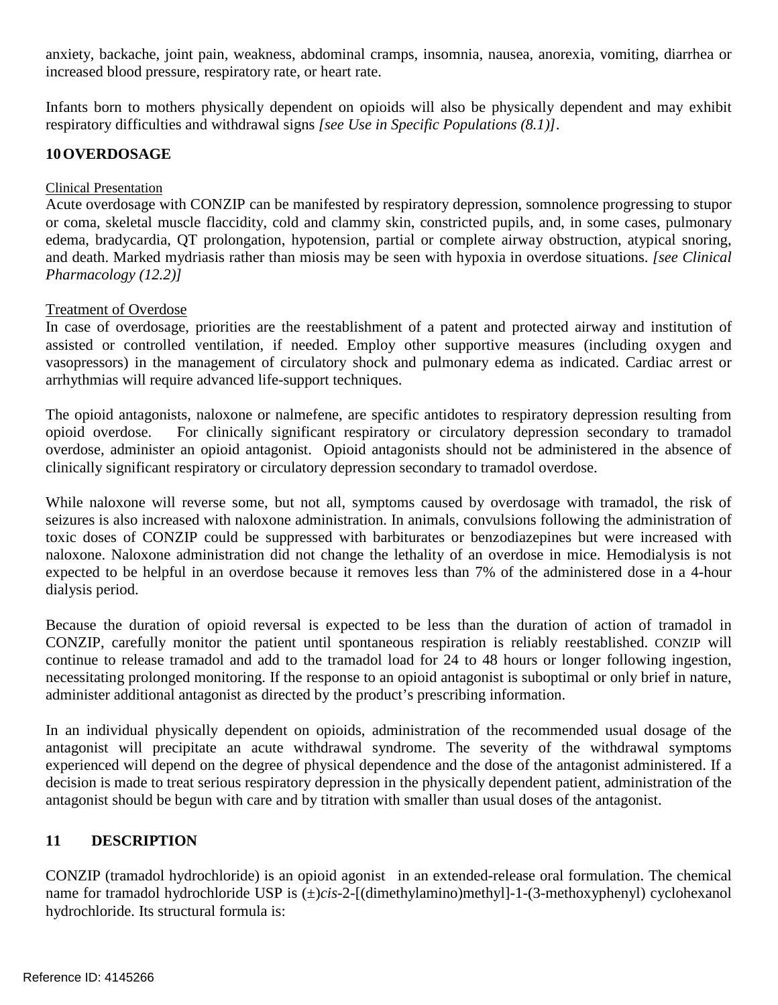increased blood pressure, respiratory rate, or heart rate. anxiety, backache, joint pain, weakness, abdominal cramps, insomnia, nausea, anorexia, vomiting, diarrhea or

Infants born to mothers physically dependent on opioids will also be physically dependent and may exhibit respiratory difficulties and withdrawal signs *[see Use in Specific Populations (8.1)]*.

## **10 OVERDOSAGE**

## Clinical Presentation

 or coma, skeletal muscle flaccidity, cold and clammy skin, constricted pupils, and, in some cases, pulmonary Acute overdosage with CONZIP can be manifested by respiratory depression, somnolence progressing to stupor edema, bradycardia, QT prolongation, hypotension, partial or complete airway obstruction, atypical snoring, and death. Marked mydriasis rather than miosis may be seen with hypoxia in overdose situations. *[see Clinical Pharmacology (12.2)]* 

## Treatment of Overdose

In case of overdosage, priorities are the reestablishment of a patent and protected airway and institution of assisted or controlled ventilation, if needed. Employ other supportive measures (including oxygen and vasopressors) in the management of circulatory shock and pulmonary edema as indicated. Cardiac arrest or arrhythmias will require advanced life-support techniques.

The opioid antagonists, naloxone or nalmefene, are specific antidotes to respiratory depression resulting from opioid overdose. For clinically significant respiratory or circulatory depression secondary to tramadol overdose, administer an opioid antagonist. Opioid antagonists should not be administered in the absence of clinically significant respiratory or circulatory depression secondary to tramadol overdose.

 seizures is also increased with naloxone administration. In animals, convulsions following the administration of toxic doses of CONZIP could be suppressed with barbiturates or benzodiazepines but were increased with While naloxone will reverse some, but not all, symptoms caused by overdosage with tramadol, the risk of naloxone. Naloxone administration did not change the lethality of an overdose in mice. Hemodialysis is not expected to be helpful in an overdose because it removes less than 7% of the administered dose in a 4-hour dialysis period.

Because the duration of opioid reversal is expected to be less than the duration of action of tramadol in CONZIP, carefully monitor the patient until spontaneous respiration is reliably reestablished. CONZIP will continue to release tramadol and add to the tramadol load for 24 to 48 hours or longer following ingestion, necessitating prolonged monitoring. If the response to an opioid antagonist is suboptimal or only brief in nature, administer additional antagonist as directed by the product's prescribing information.

 antagonist should be begun with care and by titration with smaller than usual doses of the antagonist. In an individual physically dependent on opioids, administration of the recommended usual dosage of the antagonist will precipitate an acute withdrawal syndrome. The severity of the withdrawal symptoms experienced will depend on the degree of physical dependence and the dose of the antagonist administered. If a decision is made to treat serious respiratory depression in the physically dependent patient, administration of the

#### $11$ **11 DESCRIPTION**

 CONZIP (tramadol hydrochloride) is an opioid agonist in an extended-release oral formulation. The chemical name for tramadol hydrochloride USP is (±)*cis-*2-[(dimethylamino)methyl]-1-(3-methoxyphenyl) cyclohexanol hydrochloride. Its structural formula is: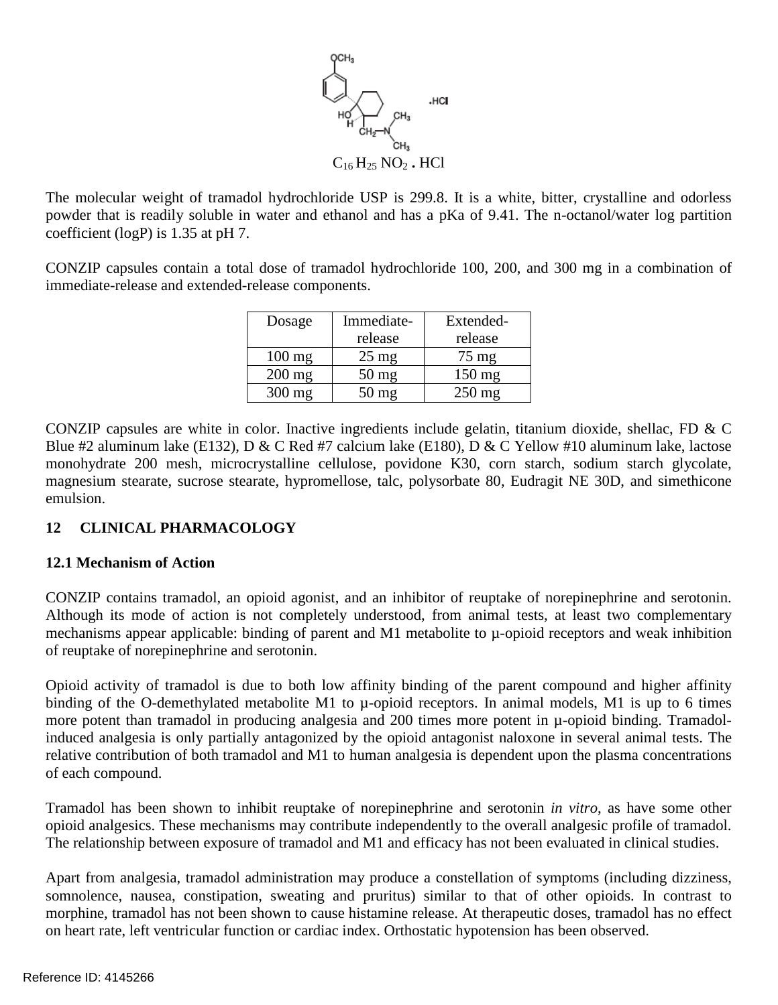

 The molecular weight of tramadol hydrochloride USP is 299.8. It is a white, bitter, crystalline and odorless powder that is readily soluble in water and ethanol and has a pKa of 9.41. The n-octanol/water log partition coefficient (logP) is 1.35 at pH 7.

 CONZIP capsules contain a total dose of tramadol hydrochloride 100, 200, and 300 mg in a combination of immediate-release and extended-release components.

| Dosage           | Immediate-      | Extended-       |
|------------------|-----------------|-----------------|
|                  | release         | release         |
| $100 \text{ mg}$ | $25 \text{ mg}$ | $75 \text{ mg}$ |
| $200$ mg         | $50$ mg         | $150$ mg        |
| $300 \text{ mg}$ | $50 \text{ mg}$ | $250$ mg        |

 CONZIP capsules are white in color. Inactive ingredients include gelatin, titanium dioxide, shellac, FD & C Blue #2 aluminum lake (E132), D & C Red #7 calcium lake (E180), D & C Yellow #10 aluminum lake, lactose monohydrate 200 mesh, microcrystalline cellulose, povidone K30, corn starch, sodium starch glycolate, magnesium stearate, sucrose stearate, hypromellose, talc, polysorbate 80, Eudragit NE 30D, and simethicone emulsion.

# **12 CLINICAL PHARMACOLOGY**

## **12.1 Mechanism of Action**

CONZIP contains tramadol, an opioid agonist, and an inhibitor of reuptake of norepinephrine and serotonin. Although its mode of action is not completely understood, from animal tests, at least two complementary mechanisms appear applicable: binding of parent and M1 metabolite to µ-opioid receptors and weak inhibition of reuptake of norepinephrine and serotonin.

 induced analgesia is only partially antagonized by the opioid antagonist naloxone in several animal tests. The Opioid activity of tramadol is due to both low affinity binding of the parent compound and higher affinity binding of the O-demethylated metabolite M1 to  $\mu$ -opioid receptors. In animal models, M1 is up to 6 times more potent than tramadol in producing analgesia and 200 times more potent in  $\mu$ -opioid binding. Tramadolrelative contribution of both tramadol and M1 to human analgesia is dependent upon the plasma concentrations of each compound.

 opioid analgesics. These mechanisms may contribute independently to the overall analgesic profile of tramadol. Tramadol has been shown to inhibit reuptake of norepinephrine and serotonin *in vitro*, as have some other The relationship between exposure of tramadol and M1 and efficacy has not been evaluated in clinical studies.

 Apart from analgesia, tramadol administration may produce a constellation of symptoms (including dizziness, somnolence, nausea, constipation, sweating and pruritus) similar to that of other opioids. In contrast to morphine, tramadol has not been shown to cause histamine release. At therapeutic doses, tramadol has no effect on heart rate, left ventricular function or cardiac index. Orthostatic hypotension has been observed.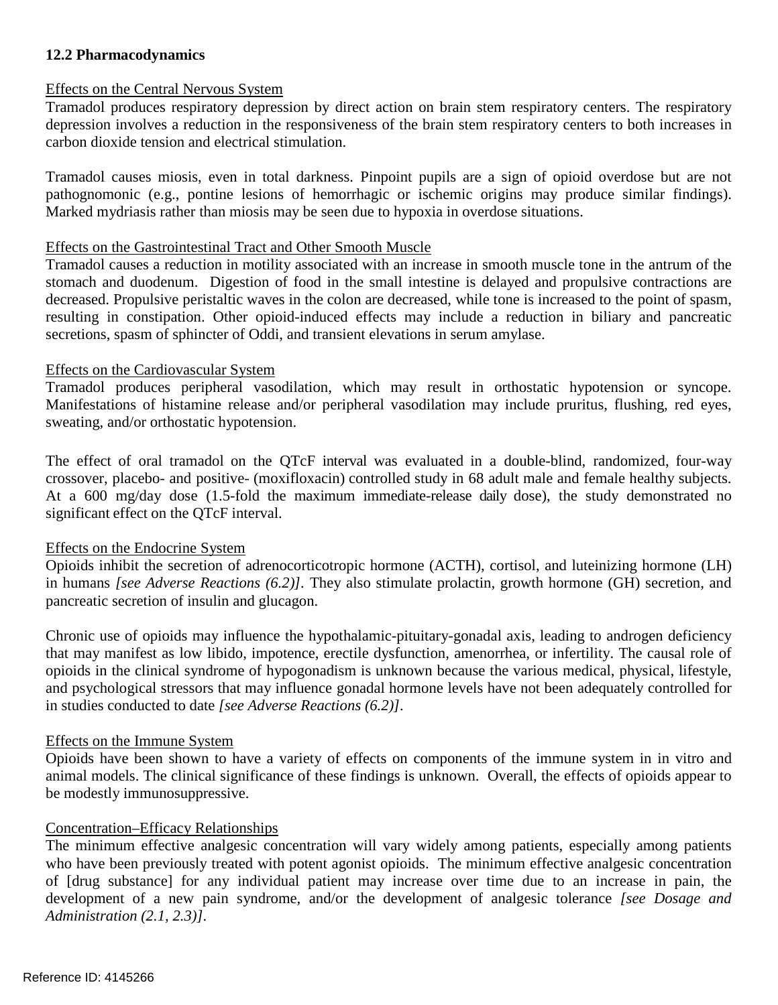## **12.2 Pharmacodynamics**

#### Effects on the Central Nervous System

Tramadol produces respiratory depression by direct action on brain stem respiratory centers. The respiratory depression involves a reduction in the responsiveness of the brain stem respiratory centers to both increases in carbon dioxide tension and electrical stimulation.

 Tramadol causes miosis, even in total darkness. Pinpoint pupils are a sign of opioid overdose but are not Marked mydriasis rather than miosis may be seen due to hypoxia in overdose situations. pathognomonic (e.g., pontine lesions of hemorrhagic or ischemic origins may produce similar findings).

## Effects on the Gastrointestinal Tract and Other Smooth Muscle

 stomach and duodenum. Digestion of food in the small intestine is delayed and propulsive contractions are Tramadol causes a reduction in motility associated with an increase in smooth muscle tone in the antrum of the decreased. Propulsive peristaltic waves in the colon are decreased, while tone is increased to the point of spasm, resulting in constipation. Other opioid-induced effects may include a reduction in biliary and pancreatic secretions, spasm of sphincter of Oddi, and transient elevations in serum amylase.

#### Effects on the Cardiovascular System

Tramadol produces peripheral vasodilation, which may result in orthostatic hypotension or syncope. Manifestations of histamine release and/or peripheral vasodilation may include pruritus, flushing, red eyes, sweating, and/or orthostatic hypotension.

 The effect of oral tramadol on the QTcF interval was evaluated in a double-blind, randomized, four-way crossover, placebo- and positive- (moxifloxacin) controlled study in 68 adult male and female healthy subjects. At a 600 mg/day dose (1.5-fold the maximum immediate-release daily dose), the study demonstrated no significant effect on the QTcF interval.

## Effects on the Endocrine System

Opioids inhibit the secretion of adrenocorticotropic hormone (ACTH), cortisol, and luteinizing hormone (LH) in humans *[see Adverse Reactions (6.2)].* They also stimulate prolactin, growth hormone (GH) secretion, and pancreatic secretion of insulin and glucagon.

 in studies conducted to date *[see Adverse Reactions (6.2)].* Chronic use of opioids may influence the hypothalamic-pituitary-gonadal axis, leading to androgen deficiency that may manifest as low libido, impotence, erectile dysfunction, amenorrhea, or infertility. The causal role of opioids in the clinical syndrome of hypogonadism is unknown because the various medical, physical, lifestyle, and psychological stressors that may influence gonadal hormone levels have not been adequately controlled for

## Effects on the Immune System

Opioids have been shown to have a variety of effects on components of the immune system in in vitro and animal models. The clinical significance of these findings is unknown. Overall, the effects of opioids appear to be modestly immunosuppressive.

## Concentration–Efficacy Relationships

The minimum effective analgesic concentration will vary widely among patients, especially among patients who have been previously treated with potent agonist opioids. The minimum effective analgesic concentration of [drug substance] for any individual patient may increase over time due to an increase in pain, the development of a new pain syndrome, and/or the development of analgesic tolerance *[see Dosage and Administration (2.1, 2.3)].*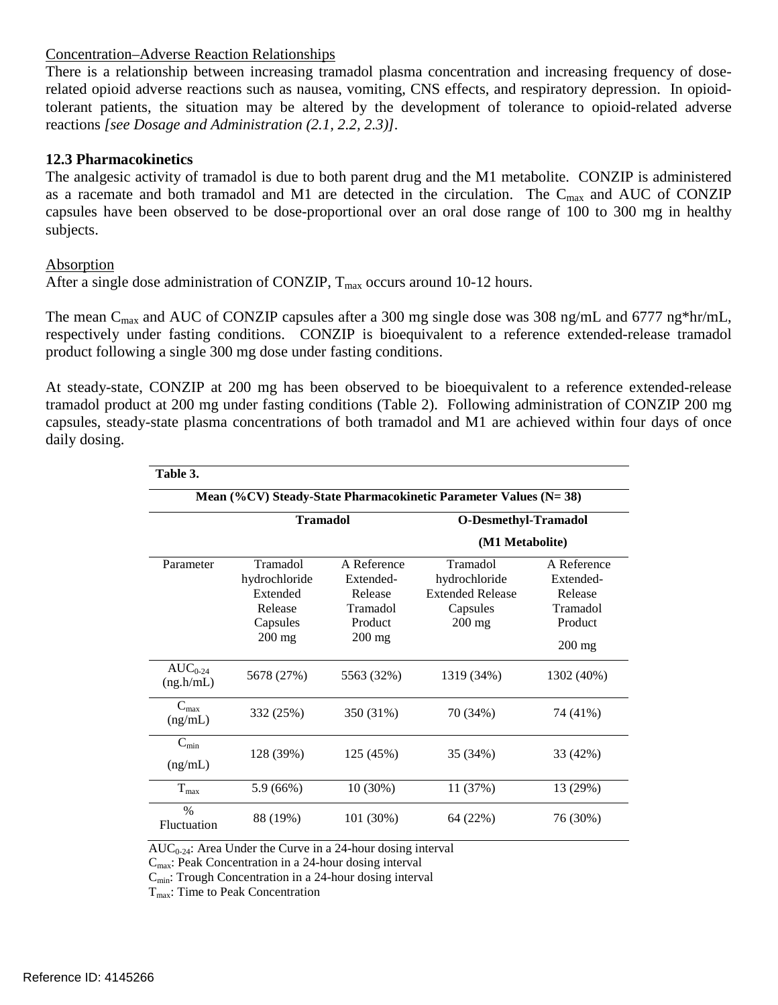## Concentration–Adverse Reaction Relationships

 tolerant patients, the situation may be altered by the development of tolerance to opioid-related adverse There is a relationship between increasing tramadol plasma concentration and increasing frequency of doserelated opioid adverse reactions such as nausea, vomiting, CNS effects, and respiratory depression. In opioidreactions *[see Dosage and Administration (2.1, 2.2, 2.3)].* 

## **12.3 Pharmacokinetics**

 The analgesic activity of tramadol is due to both parent drug and the M1 metabolite. CONZIP is administered as a racemate and both tramadol and M1 are detected in the circulation. The  $C_{\text{max}}$  and AUC of CONZIP capsules have been observed to be dose-proportional over an oral dose range of 100 to 300 mg in healthy subjects.

## Absorption

After a single dose administration of CONZIP,  $T_{\text{max}}$  occurs around 10-12 hours.

The mean  $C_{\text{max}}$  and AUC of CONZIP capsules after a 300 mg single dose was 308 ng/mL and 6777 ng\*hr/mL, respectively under fasting conditions. CONZIP is bioequivalent to a reference extended-release tramadol product following a single 300 mg dose under fasting conditions.

 At steady-state, CONZIP at 200 mg has been observed to be bioequivalent to a reference extended-release tramadol product at 200 mg under fasting conditions (Table 2). Following administration of CONZIP 200 mg capsules, steady-state plasma concentrations of both tramadol and M1 are achieved within four days of once daily dosing.

| Table 3.                                                         |                                                                          |                                                                        |                                                                              |                                                                        |
|------------------------------------------------------------------|--------------------------------------------------------------------------|------------------------------------------------------------------------|------------------------------------------------------------------------------|------------------------------------------------------------------------|
| Mean (%CV) Steady-State Pharmacokinetic Parameter Values (N= 38) |                                                                          |                                                                        |                                                                              |                                                                        |
|                                                                  | <b>Tramadol</b>                                                          |                                                                        | <b>O-Desmethyl-Tramadol</b>                                                  |                                                                        |
|                                                                  |                                                                          |                                                                        | (M1 Metabolite)                                                              |                                                                        |
| Parameter                                                        | Tramadol<br>hydrochloride<br>Extended<br>Release<br>Capsules<br>$200$ mg | A Reference<br>Extended-<br>Release<br>Tramadol<br>Product<br>$200$ mg | Tramadol<br>hydrochloride<br><b>Extended Release</b><br>Capsules<br>$200$ mg | A Reference<br>Extended-<br>Release<br>Tramadol<br>Product<br>$200$ mg |
| $AUC_{0-24}$<br>(ng.h/mL)                                        | 5678 (27%)                                                               | 5563 (32%)                                                             | 1319 (34%)                                                                   | 1302 (40%)                                                             |
| $C_{\text{max}}$<br>(ng/mL)                                      | 332 (25%)                                                                | 350 (31%)                                                              | 70 (34%)                                                                     | 74 (41%)                                                               |
| $C_{\text{min}}$<br>(ng/mL)                                      | 128 (39%)                                                                | 125 (45%)                                                              | 35 (34%)                                                                     | 33 (42%)                                                               |
| $T_{max}$                                                        | 5.9 (66%)                                                                | 10 (30%)                                                               | 11 (37%)                                                                     | 13 (29%)                                                               |
| $\frac{0}{0}$<br>Fluctuation                                     | 88 (19%)                                                                 | 101 (30%)                                                              | 64 (22%)                                                                     | 76 (30%)                                                               |

 $AUC_{0.24}$ : Area Under the Curve in a 24-hour dosing interval

 $C_{\text{max}}$ : Peak Concentration in a 24-hour dosing interval

 $C_{\text{min}}$ : Trough Concentration in a 24-hour dosing interval

T<sub>max</sub>: Time to Peak Concentration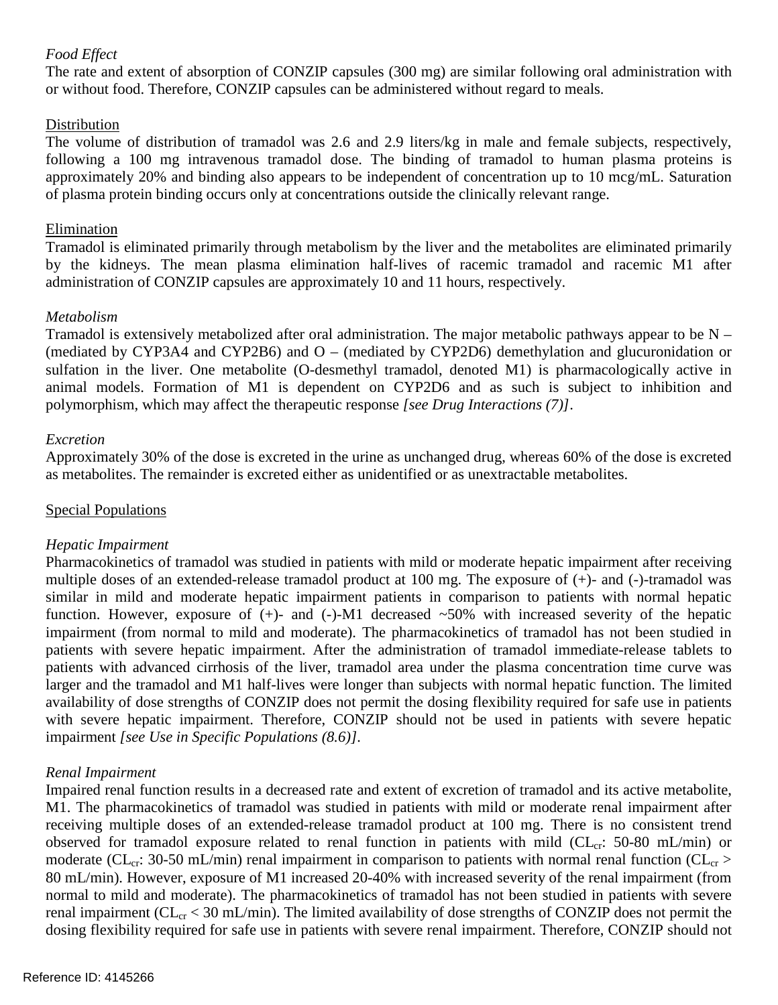## *Food Effect*

 or without food. Therefore, CONZIP capsules can be administered without regard to meals. The rate and extent of absorption of CONZIP capsules (300 mg) are similar following oral administration with

## **Distribution**

The volume of distribution of tramadol was 2.6 and 2.9 liters/kg in male and female subjects, respectively, following a 100 mg intravenous tramadol dose. The binding of tramadol to human plasma proteins is approximately 20% and binding also appears to be independent of concentration up to 10 mcg/mL. Saturation of plasma protein binding occurs only at concentrations outside the clinically relevant range.

## Elimination

Tramadol is eliminated primarily through metabolism by the liver and the metabolites are eliminated primarily by the kidneys. The mean plasma elimination half-lives of racemic tramadol and racemic M1 after administration of CONZIP capsules are approximately 10 and 11 hours, respectively.

## *Metabolism*

 Tramadol is extensively metabolized after oral administration. The major metabolic pathways appear to be N – (mediated by CYP3A4 and CYP2B6) and O – (mediated by CYP2D6) demethylation and glucuronidation or polymorphism, which may affect the therapeutic response *[see Drug Interactions (7)]*. sulfation in the liver. One metabolite (O-desmethyl tramadol, denoted M1) is pharmacologically active in animal models. Formation of M1 is dependent on CYP2D6 and as such is subject to inhibition and

## *Excretion*

Approximately 30% of the dose is excreted in the urine as unchanged drug, whereas 60% of the dose is excreted as metabolites. The remainder is excreted either as unidentified or as unextractable metabolites.

## Special Populations

## *Hepatic Impairment*

 larger and the tramadol and M1 half-lives were longer than subjects with normal hepatic function. The limited  impairment *[see Use in Specific Populations (8.6)].*  Pharmacokinetics of tramadol was studied in patients with mild or moderate hepatic impairment after receiving multiple doses of an extended-release tramadol product at 100 mg. The exposure of (+)- and (-)-tramadol was similar in mild and moderate hepatic impairment patients in comparison to patients with normal hepatic function. However, exposure of  $(+)$ - and  $(-)$ -M1 decreased  $\sim$ 50% with increased severity of the hepatic impairment (from normal to mild and moderate). The pharmacokinetics of tramadol has not been studied in patients with severe hepatic impairment. After the administration of tramadol immediate-release tablets to patients with advanced cirrhosis of the liver, tramadol area under the plasma concentration time curve was availability of dose strengths of CONZIP does not permit the dosing flexibility required for safe use in patients with severe hepatic impairment. Therefore, CONZIP should not be used in patients with severe hepatic

## *Renal Impairment*

moderate (CL<sub>cr</sub>: 30-50 mL/min) renal impairment in comparison to patients with normal renal function (CL<sub>cr</sub> > Impaired renal function results in a decreased rate and extent of excretion of tramadol and its active metabolite, M1. The pharmacokinetics of tramadol was studied in patients with mild or moderate renal impairment after receiving multiple doses of an extended-release tramadol product at 100 mg. There is no consistent trend observed for tramadol exposure related to renal function in patients with mild ( $CL_{cr}$ : 50-80 mL/min) or 80 mL/min). However, exposure of M1 increased 20-40% with increased severity of the renal impairment (from normal to mild and moderate). The pharmacokinetics of tramadol has not been studied in patients with severe renal impairment ( $CL_{cr}$  < 30 mL/min). The limited availability of dose strengths of CONZIP does not permit the dosing flexibility required for safe use in patients with severe renal impairment. Therefore, CONZIP should not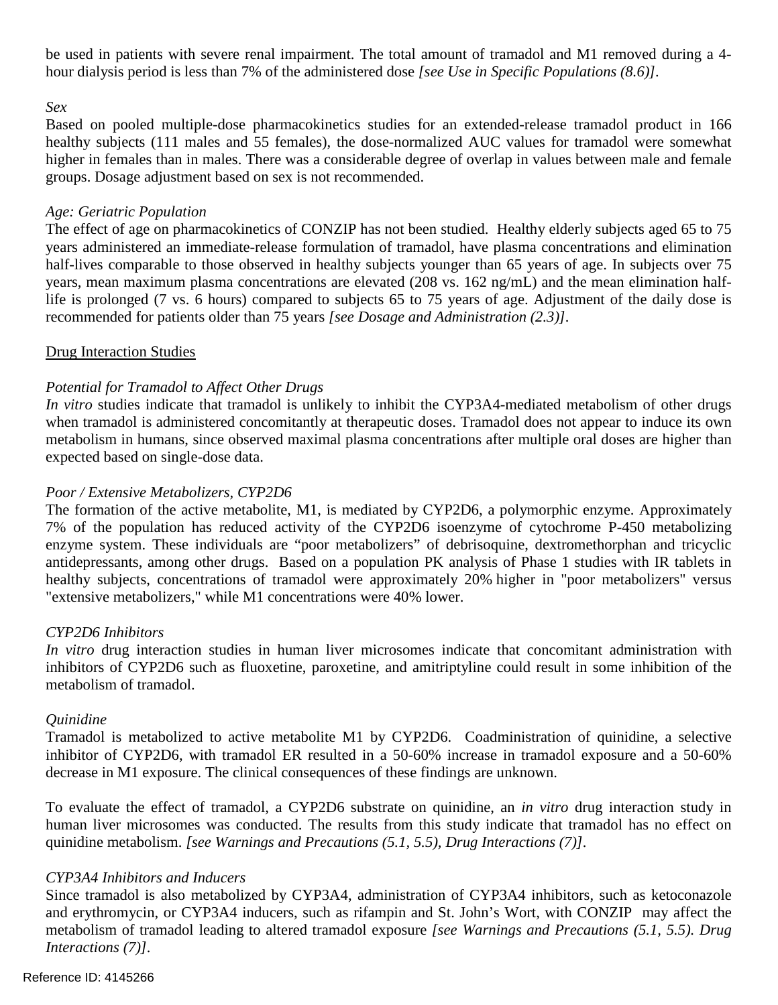be used in patients with severe renal impairment. The total amount of tramadol and M1 removed during a 4 hour dialysis period is less than 7% of the administered dose *[see Use in Specific Populations (8.6)].* 

## *Sex*

 groups. Dosage adjustment based on sex is not recommended. Based on pooled multiple-dose pharmacokinetics studies for an extended-release tramadol product in 166 healthy subjects (111 males and 55 females), the dose-normalized AUC values for tramadol were somewhat higher in females than in males. There was a considerable degree of overlap in values between male and female

#### *Age: Geriatric Population*

 The effect of age on pharmacokinetics of CONZIP has not been studied. Healthy elderly subjects aged 65 to 75 recommended for patients older than 75 years *[see Dosage and Administration (2.3)].*  years administered an immediate-release formulation of tramadol, have plasma concentrations and elimination half-lives comparable to those observed in healthy subjects younger than 65 years of age. In subjects over 75 years, mean maximum plasma concentrations are elevated (208 vs. 162 ng/mL) and the mean elimination halflife is prolonged (7 vs. 6 hours) compared to subjects 65 to 75 years of age. Adjustment of the daily dose is

## **Drug Interaction Studies**

## *Potential for Tramadol to Affect Other Drugs*

 *In vitro* studies indicate that tramadol is unlikely to inhibit the CYP3A4-mediated metabolism of other drugs when tramadol is administered concomitantly at therapeutic doses. Tramadol does not appear to induce its own metabolism in humans, since observed maximal plasma concentrations after multiple oral doses are higher than expected based on single-dose data.

## *Poor / Extensive Metabolizers, CYP2D6*

The formation of the active metabolite, M1, is mediated by CYP2D6, a polymorphic enzyme. Approximately 7% of the population has reduced activity of the CYP2D6 isoenzyme of cytochrome P-450 metabolizing enzyme system. These individuals are "poor metabolizers" of debrisoquine, dextromethorphan and tricyclic antidepressants, among other drugs. Based on a population PK analysis of Phase 1 studies with IR tablets in healthy subjects, concentrations of tramadol were approximately 20% higher in "poor metabolizers" versus "extensive metabolizers," while M1 concentrations were 40% lower.

## *CYP2D6 Inhibitors*

 inhibitors of CYP2D6 such as fluoxetine, paroxetine, and amitriptyline could result in some inhibition of the metabolism of tramadol. *In vitro* drug interaction studies in human liver microsomes indicate that concomitant administration with

#### *Quinidine*

Tramadol is metabolized to active metabolite M1 by CYP2D6. Coadministration of quinidine, a selective inhibitor of CYP2D6, with tramadol ER resulted in a 50-60% increase in tramadol exposure and a 50-60% decrease in M1 exposure. The clinical consequences of these findings are unknown.

To evaluate the effect of tramadol, a CYP2D6 substrate on quinidine, an *in vitro* drug interaction study in human liver microsomes was conducted. The results from this study indicate that tramadol has no effect on quinidine metabolism. *[see Warnings and Precautions (5.1, 5.5), Drug Interactions (7)].* 

## *CYP3A4 Inhibitors and Inducers*

 and erythromycin, or CYP3A4 inducers, such as rifampin and St. John's Wort, with CONZIP may affect the Since tramadol is also metabolized by CYP3A4, administration of CYP3A4 inhibitors, such as ketoconazole metabolism of tramadol leading to altered tramadol exposure *[see Warnings and Precautions (5.1, 5.5). Drug Interactions (7)].*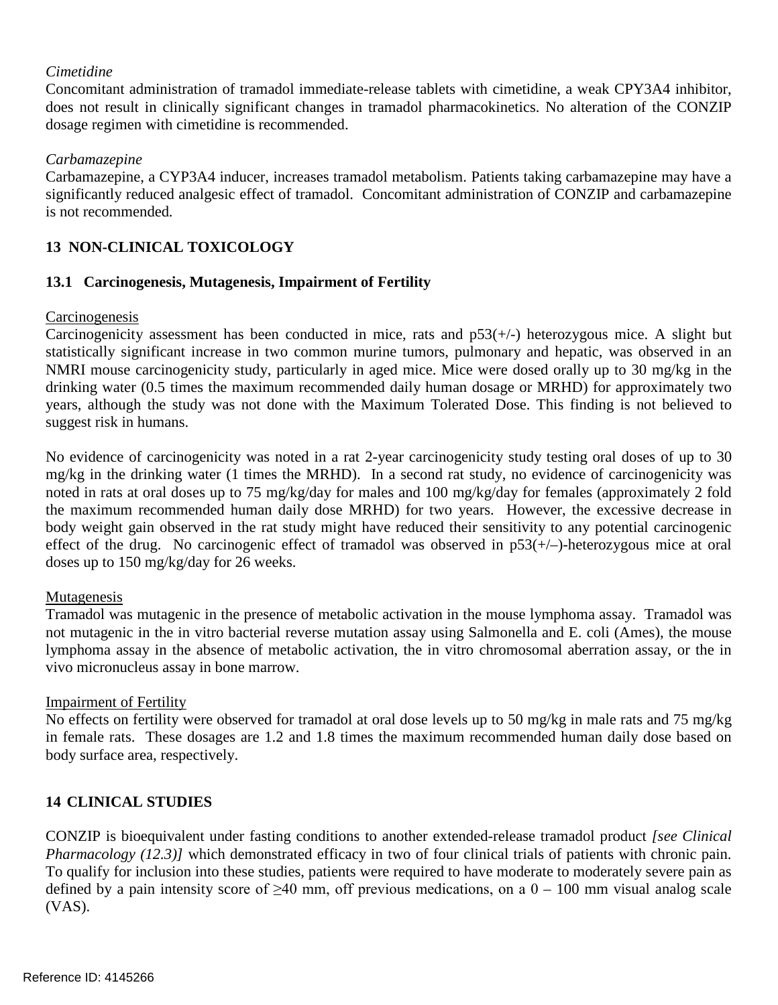## *Cimetidine*

 does not result in clinically significant changes in tramadol pharmacokinetics. No alteration of the CONZIP Concomitant administration of tramadol immediate-release tablets with cimetidine, a weak CPY3A4 inhibitor, dosage regimen with cimetidine is recommended.

## *Carbamazepine*

Carbamazepine, a CYP3A4 inducer, increases tramadol metabolism. Patients taking carbamazepine may have a significantly reduced analgesic effect of tramadol. Concomitant administration of CONZIP and carbamazepine is not recommended*.* 

## **13 NON-CLINICAL TOXICOLOGY**

## **13.1 Carcinogenesis, Mutagenesis, Impairment of Fertility**

#### **Carcinogenesis**

Carcinogenicity assessment has been conducted in mice, rats and p53(+/-) heterozygous mice. A slight but statistically significant increase in two common murine tumors, pulmonary and hepatic, was observed in an NMRI mouse carcinogenicity study, particularly in aged mice. Mice were dosed orally up to 30 mg/kg in the drinking water (0.5 times the maximum recommended daily human dosage or MRHD) for approximately two years, although the study was not done with the Maximum Tolerated Dose. This finding is not believed to suggest risk in humans.

 No evidence of carcinogenicity was noted in a rat 2-year carcinogenicity study testing oral doses of up to 30 noted in rats at oral doses up to 75 mg/kg/day for males and 100 mg/kg/day for females (approximately 2 fold mg/kg in the drinking water (1 times the MRHD). In a second rat study, no evidence of carcinogenicity was the maximum recommended human daily dose MRHD) for two years. However, the excessive decrease in body weight gain observed in the rat study might have reduced their sensitivity to any potential carcinogenic effect of the drug. No carcinogenic effect of tramadol was observed in  $p53(+/-)$ -heterozygous mice at oral doses up to 150 mg/kg/day for 26 weeks.

## Mutagenesis

Tramadol was mutagenic in the presence of metabolic activation in the mouse lymphoma assay. Tramadol was not mutagenic in the in vitro bacterial reverse mutation assay using Salmonella and E. coli (Ames), the mouse lymphoma assay in the absence of metabolic activation, the in vitro chromosomal aberration assay, or the in vivo micronucleus assay in bone marrow.

#### Impairment of Fertility

No effects on fertility were observed for tramadol at oral dose levels up to 50 mg/kg in male rats and 75 mg/kg in female rats. These dosages are 1.2 and 1.8 times the maximum recommended human daily dose based on body surface area, respectively.

## **14 CLINICAL STUDIES**

 CONZIP is bioequivalent under fasting conditions to another extended-release tramadol product *[see Clinical Pharmacology (12.3)]* which demonstrated efficacy in two of four clinical trials of patients with chronic pain. defined by a pain intensity score of  $\geq 40$  mm, off previous medications, on a  $0 - 100$  mm visual analog scale To qualify for inclusion into these studies, patients were required to have moderate to moderately severe pain as (VAS).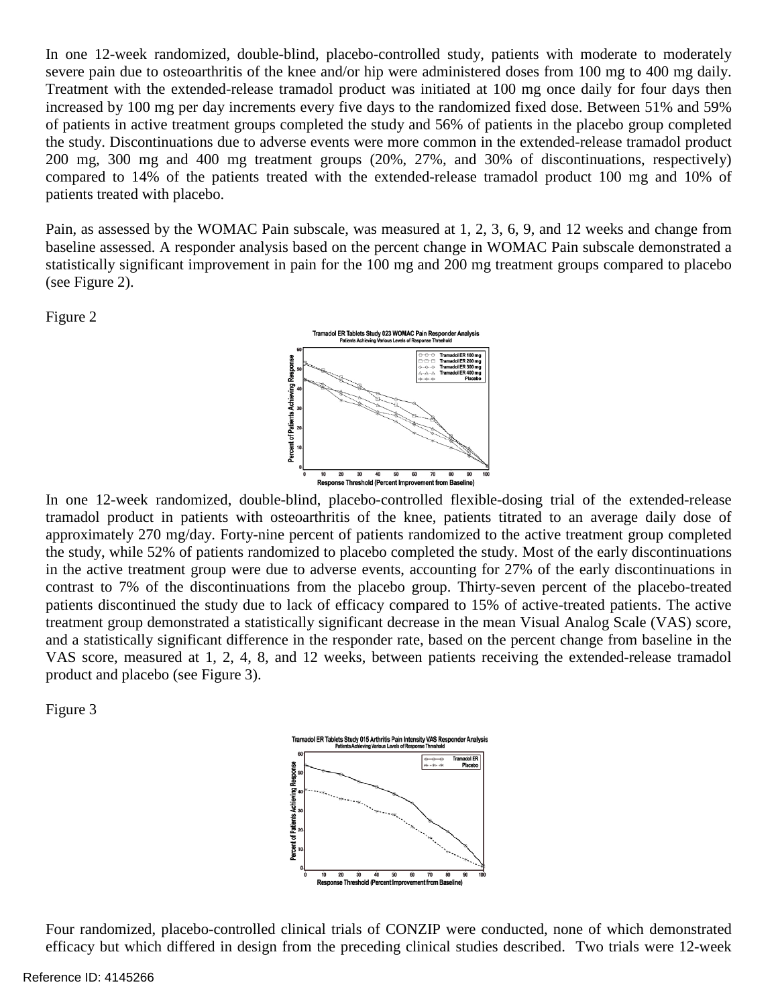Treatment with the extended-release tramadol product was initiated at 100 mg once daily for four days then In one 12-week randomized, double-blind, placebo-controlled study, patients with moderate to moderately severe pain due to osteoarthritis of the knee and/or hip were administered doses from 100 mg to 400 mg daily. increased by 100 mg per day increments every five days to the randomized fixed dose. Between 51% and 59% of patients in active treatment groups completed the study and 56% of patients in the placebo group completed the study. Discontinuations due to adverse events were more common in the extended-release tramadol product 200 mg, 300 mg and 400 mg treatment groups (20%, 27%, and 30% of discontinuations, respectively) compared to 14% of the patients treated with the extended-release tramadol product 100 mg and 10% of patients treated with placebo.

 Pain, as assessed by the WOMAC Pain subscale, was measured at 1, 2, 3, 6, 9, and 12 weeks and change from baseline assessed. A responder analysis based on the percent change in WOMAC Pain subscale demonstrated a statistically significant improvement in pain for the 100 mg and 200 mg treatment groups compared to placebo (see Figure 2).

Figure 2



 tramadol product in patients with osteoarthritis of the knee, patients titrated to an average daily dose of patients discontinued the study due to lack of efficacy compared to 15% of active-treated patients. The active In one 12-week randomized, double-blind, placebo-controlled flexible-dosing trial of the extended-release approximately 270 mg/day. Forty-nine percent of patients randomized to the active treatment group completed the study, while 52% of patients randomized to placebo completed the study. Most of the early discontinuations in the active treatment group were due to adverse events, accounting for 27% of the early discontinuations in contrast to 7% of the discontinuations from the placebo group. Thirty-seven percent of the placebo-treated treatment group demonstrated a statistically significant decrease in the mean Visual Analog Scale (VAS) score, and a statistically significant difference in the responder rate, based on the percent change from baseline in the VAS score, measured at 1, 2, 4, 8, and 12 weeks, between patients receiving the extended-release tramadol product and placebo (see Figure 3).

Figure 3



Four randomized, placebo-controlled clinical trials of CONZIP were conducted, none of which demonstrated efficacy but which differed in design from the preceding clinical studies described. Two trials were 12-week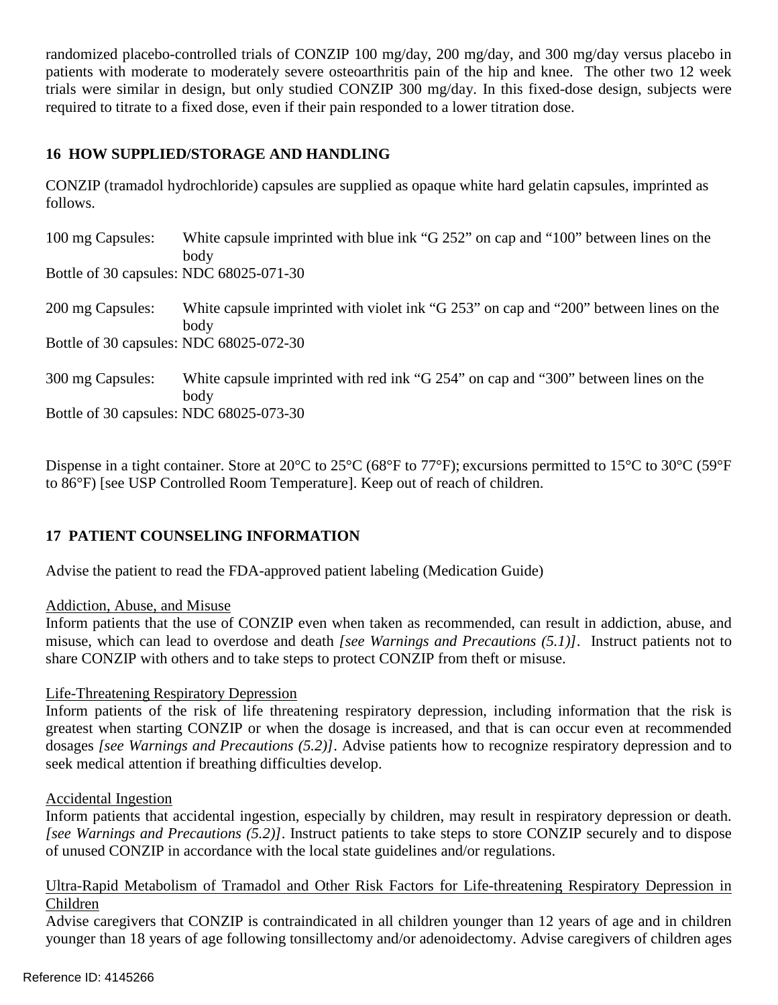randomized placebo-controlled trials of CONZIP 100 mg/day, 200 mg/day, and 300 mg/day versus placebo in patients with moderate to moderately severe osteoarthritis pain of the hip and knee. The other two 12 week trials were similar in design, but only studied CONZIP 300 mg/day. In this fixed-dose design, subjects were required to titrate to a fixed dose, even if their pain responded to a lower titration dose.

# **16 HOW SUPPLIED/STORAGE AND HANDLING**

 CONZIP (tramadol hydrochloride) capsules are supplied as opaque white hard gelatin capsules, imprinted as follows.

| 100 mg Capsules:                        | White capsule imprinted with blue ink "G 252" on cap and "100" between lines on the<br>body   |
|-----------------------------------------|-----------------------------------------------------------------------------------------------|
| Bottle of 30 capsules: NDC 68025-071-30 |                                                                                               |
| 200 mg Capsules:                        | White capsule imprinted with violet ink "G 253" on cap and "200" between lines on the<br>body |
| Bottle of 30 capsules: NDC 68025-072-30 |                                                                                               |
| 300 mg Capsules:                        | White capsule imprinted with red ink "G 254" on cap and "300" between lines on the<br>body    |
| Bottle of 30 capsules: NDC 68025-073-30 |                                                                                               |

 to 86°F) [see USP Controlled Room Temperature]. Keep out of reach of children. Dispense in a tight container. Store at 20°C to 25°C (68°F to 77°F); excursions permitted to 15°C to 30°C (59°F

# **17 PATIENT COUNSELING INFORMATION**

Advise the patient to read the FDA-approved patient labeling (Medication Guide)

## Addiction, Abuse, and Misuse

 Inform patients that the use of CONZIP even when taken as recommended, can result in addiction, abuse, and share CONZIP with others and to take steps to protect CONZIP from theft or misuse. misuse, which can lead to overdose and death *[see Warnings and Precautions (5.1)]*. Instruct patients not to

## Life-Threatening Respiratory Depression

Inform patients of the risk of life threatening respiratory depression, including information that the risk is greatest when starting CONZIP or when the dosage is increased, and that is can occur even at recommended dosages *[see Warnings and Precautions (5.2)]*. Advise patients how to recognize respiratory depression and to seek medical attention if breathing difficulties develop.

## Accidental Ingestion

 of unused CONZIP in accordance with the local state guidelines and/or regulations. Inform patients that accidental ingestion, especially by children, may result in respiratory depression or death. *[see Warnings and Precautions (5.2)]*. Instruct patients to take steps to store CONZIP securely and to dispose

## Ultra-Rapid Metabolism of Tramadol and Other Risk Factors for Life-threatening Respiratory Depression in Children

 Advise caregivers that CONZIP is contraindicated in all children younger than 12 years of age and in children younger than 18 years of age following tonsillectomy and/or adenoidectomy. Advise caregivers of children ages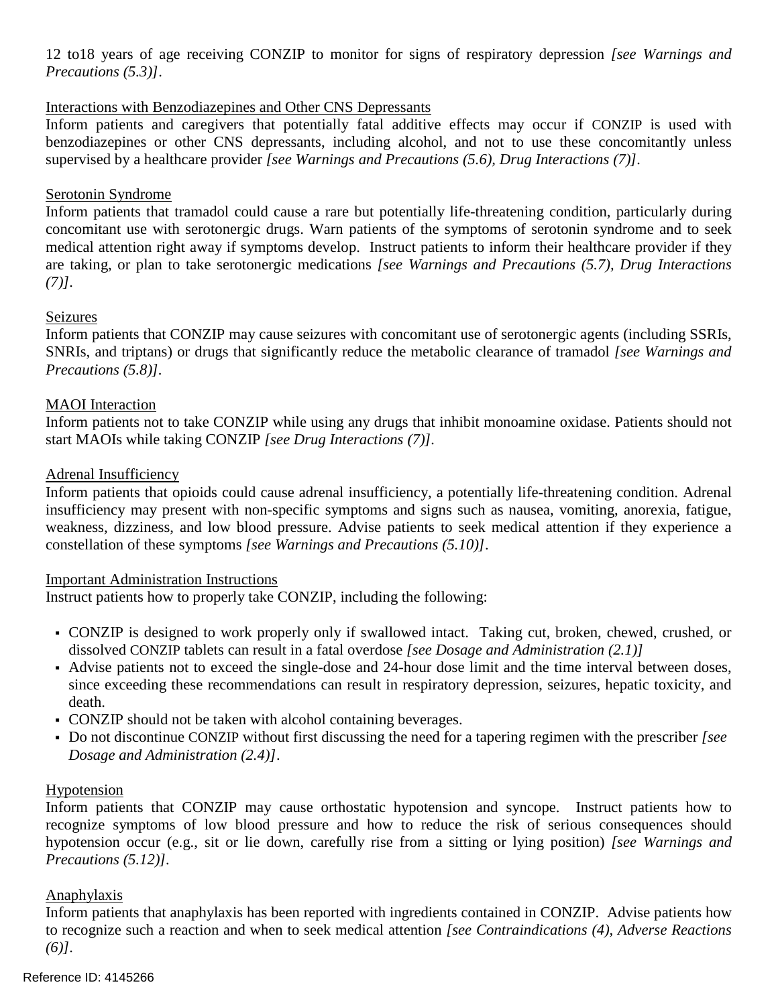12 to18 years of age receiving CONZIP to monitor for signs of respiratory depression *[see Warnings and Precautions (5.3)]*.

## Interactions with Benzodiazepines and Other CNS Depressants

 Inform patients and caregivers that potentially fatal additive effects may occur if CONZIP is used with benzodiazepines or other CNS depressants, including alcohol, and not to use these concomitantly unless supervised by a healthcare provider *[see Warnings and Precautions (5.6), Drug Interactions (7)].* 

## Serotonin Syndrome

 concomitant use with serotonergic drugs. Warn patients of the symptoms of serotonin syndrome and to seek medical attention right away if symptoms develop. Instruct patients to inform their healthcare provider if they Inform patients that tramadol could cause a rare but potentially life-threatening condition, particularly during are taking, or plan to take serotonergic medications *[see Warnings and Precautions (5.7), Drug Interactions (7)].* 

## Seizures

Inform patients that CONZIP may cause seizures with concomitant use of serotonergic agents (including SSRIs, SNRIs, and triptans) or drugs that significantly reduce the metabolic clearance of tramadol *[see Warnings and Precautions (5.8)].*

## MAOI Interaction

 start MAOIs while taking CONZIP *[see Drug Interactions (7)].*  Inform patients not to take CONZIP while using any drugs that inhibit monoamine oxidase. Patients should not

## Adrenal Insufficiency

Inform patients that opioids could cause adrenal insufficiency, a potentially life-threatening condition. Adrenal insufficiency may present with non-specific symptoms and signs such as nausea, vomiting, anorexia, fatigue, weakness, dizziness, and low blood pressure. Advise patients to seek medical attention if they experience a constellation of these symptoms *[see Warnings and Precautions (5.10)]*.

## Important Administration Instructions

Instruct patients how to properly take CONZIP, including the following:

- CONZIP is designed to work properly only if swallowed intact. Taking cut, broken, chewed, crushed, or dissolved CONZIP tablets can result in a fatal overdose *[see Dosage and Administration (2.1)]*
- Advise patients not to exceed the single-dose and 24-hour dose limit and the time interval between doses, since exceeding these recommendations can result in respiratory depression, seizures, hepatic toxicity, and death.
- CONZIP should not be taken with alcohol containing beverages.
- Do not discontinue CONZIP without first discussing the need for a tapering regimen with the prescriber *[see Dosage and Administration (2.4)]*.

## Hypotension

Inform patients that CONZIP may cause orthostatic hypotension and syncope. Instruct patients how to recognize symptoms of low blood pressure and how to reduce the risk of serious consequences should hypotension occur (e.g., sit or lie down, carefully rise from a sitting or lying position) *[see Warnings and Precautions (5.12)].* 

## Anaphylaxis

Inform patients that anaphylaxis has been reported with ingredients contained in CONZIP. Advise patients how to recognize such a reaction and when to seek medical attention *[see Contraindications (4), Adverse Reactions (6)].*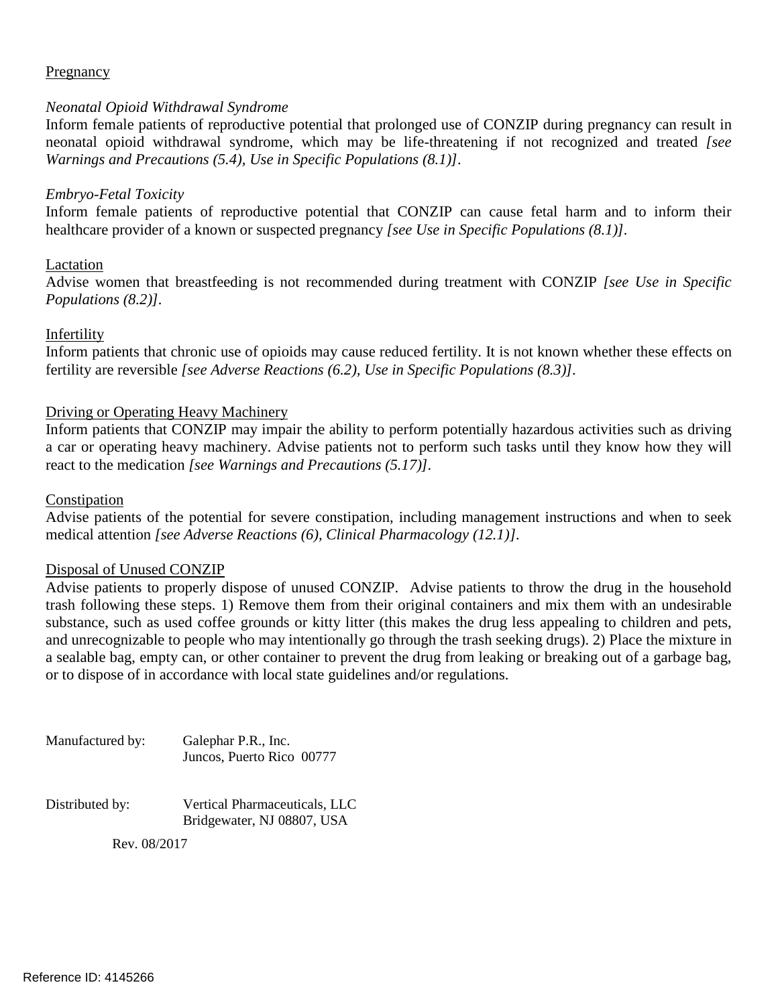## Pregnancy

#### *Neonatal Opioid Withdrawal Syndrome*

 Inform female patients of reproductive potential that prolonged use of CONZIP during pregnancy can result in neonatal opioid withdrawal syndrome, which may be life-threatening if not recognized and treated *[see Warnings and Precautions (5.4), Use in Specific Populations (8.1)].* 

#### *Embryo-Fetal Toxicity*

 healthcare provider of a known or suspected pregnancy *[see Use in Specific Populations (8.1)].* Inform female patients of reproductive potential that CONZIP can cause fetal harm and to inform their

#### Lactation

Advise women that breastfeeding is not recommended during treatment with CONZIP *[see Use in Specific Populations (8.2)].* 

#### Infertility

Inform patients that chronic use of opioids may cause reduced fertility. It is not known whether these effects on fertility are reversible *[see Adverse Reactions (6.2), Use in Specific Populations (8.3)].* 

## **Driving or Operating Heavy Machinery**

Inform patients that CONZIP may impair the ability to perform potentially hazardous activities such as driving a car or operating heavy machinery. Advise patients not to perform such tasks until they know how they will react to the medication *[see Warnings and Precautions (5.17)].* 

#### **Constination**

 medical attention *[see Adverse Reactions (6), Clinical Pharmacology (12.1)].*  Advise patients of the potential for severe constipation, including management instructions and when to seek

#### Disposal of Unused CONZIP

Advise patients to properly dispose of unused CONZIP. Advise patients to throw the drug in the household trash following these steps. 1) Remove them from their original containers and mix them with an undesirable substance, such as used coffee grounds or kitty litter (this makes the drug less appealing to children and pets, and unrecognizable to people who may intentionally go through the trash seeking drugs). 2) Place the mixture in a sealable bag, empty can, or other container to prevent the drug from leaking or breaking out of a garbage bag, or to dispose of in accordance with local state guidelines and/or regulations.

| Manufactured by: | Galephar P.R., Inc.<br>Juncos, Puerto Rico 00777            |
|------------------|-------------------------------------------------------------|
| Distributed by:  | Vertical Pharmaceuticals, LLC<br>Bridgewater, NJ 08807, USA |
| Rev. 08/2017     |                                                             |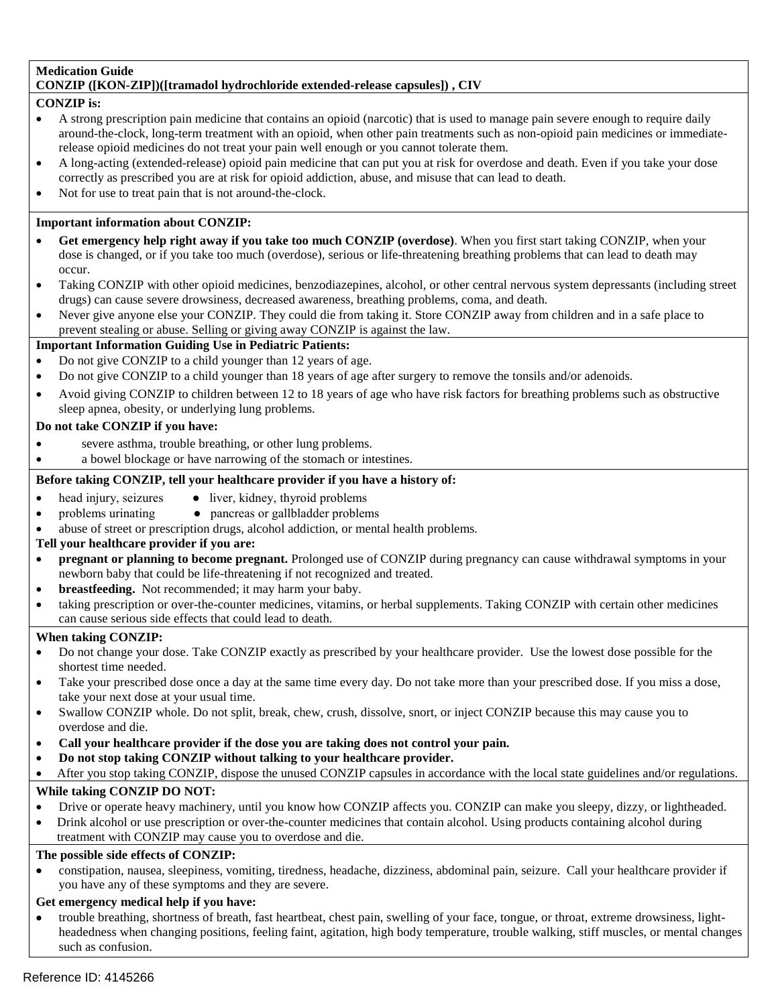#### **Medication Guide**

#### **CONZIP ([KON-ZIP])([tramadol hydrochloride extended-release capsules]) , CIV**

#### **CONZIP is:**

- • A strong prescription pain medicine that contains an opioid (narcotic) that is used to manage pain severe enough to require daily around-the-clock, long-term treatment with an opioid, when other pain treatments such as non-opioid pain medicines or immediate-release opioid medicines do not treat your pain well enough or you cannot tolerate them.
- • A long-acting (extended-release) opioid pain medicine that can put you at risk for overdose and death. Even if you take your dose correctly as prescribed you are at risk for opioid addiction, abuse, and misuse that can lead to death.
- Not for use to treat pain that is not around-the-clock.

#### **Important information about CONZIP:**

- **Get emergency help right away if you take too much CONZIP (overdose)**. When you first start taking CONZIP, when your dose is changed, or if you take too much (overdose), serious or life-threatening breathing problems that can lead to death may occur.
- Taking CONZIP with other opioid medicines, benzodiazepines, alcohol, or other central nervous system depressants (including street drugs) can cause severe drowsiness, decreased awareness, breathing problems, coma, and death.
- Never give anyone else your CONZIP. They could die from taking it. Store CONZIP away from children and in a safe place to prevent stealing or abuse. Selling or giving away CONZIP is against the law.

#### **Important Information Guiding Use in Pediatric Patients:**

- Do not give CONZIP to a child younger than 12 years of age.
- Do not give CONZIP to a child younger than 18 years of age after surgery to remove the tonsils and/or adenoids.
- Avoid giving CONZIP to children between 12 to 18 years of age who have risk factors for breathing problems such as obstructive sleep apnea, obesity, or underlying lung problems.

#### **Do not take CONZIP if you have:**

- severe asthma, trouble breathing, or other lung problems.
- a bowel blockage or have narrowing of the stomach or intestines.

#### **Before taking CONZIP, tell your healthcare provider if you have a history of:**

- head injury, seizures liver, kidney, thyroid problems
- problems urinating pancreas or gallbladder problems
- abuse of street or prescription drugs, alcohol addiction, or mental health problems.

#### **Tell your healthcare provider if you are:**

- **pregnant or planning to become pregnant.** Prolonged use of CONZIP during pregnancy can cause withdrawal symptoms in your newborn baby that could be life-threatening if not recognized and treated.
- **breastfeeding.** Not recommended; it may harm your baby.
- • taking prescription or over-the-counter medicines, vitamins, or herbal supplements. Taking CONZIP with certain other medicines can cause serious side effects that could lead to death.

#### **When taking CONZIP:**

- • Do not change your dose. Take CONZIP exactly as prescribed by your healthcare provider. Use the lowest dose possible for the shortest time needed.
- • Take your prescribed dose once a day at the same time every day. Do not take more than your prescribed dose. If you miss a dose, take your next dose at your usual time.
- overdose and die. • Swallow CONZIP whole. Do not split, break, chew, crush, dissolve, snort, or inject CONZIP because this may cause you to
- **Call your healthcare provider if the dose you are taking does not control your pain.**
- **Do not stop taking CONZIP without talking to your healthcare provider.**
- After you stop taking CONZIP, dispose the unused CONZIP capsules in accordance with the local state guidelines and/or regulations.

#### **While taking CONZIP DO NOT:**

- Drive or operate heavy machinery, until you know how CONZIP affects you. CONZIP can make you sleepy, dizzy, or lightheaded.
- Drink alcohol or use prescription or over-the-counter medicines that contain alcohol. Using products containing alcohol during treatment with CONZIP may cause you to overdose and die.

#### **The possible side effects of CONZIP:**

 • constipation, nausea, sleepiness, vomiting, tiredness, headache, dizziness, abdominal pain, seizure. Call your healthcare provider if you have any of these symptoms and they are severe.

#### **Get emergency medical help if you have:**

• trouble breathing, shortness of breath, fast heartbeat, chest pain, swelling of your face, tongue, or throat, extreme drowsiness, lightheadedness when changing positions, feeling faint, agitation, high body temperature, trouble walking, stiff muscles, or mental changes such as confusion.